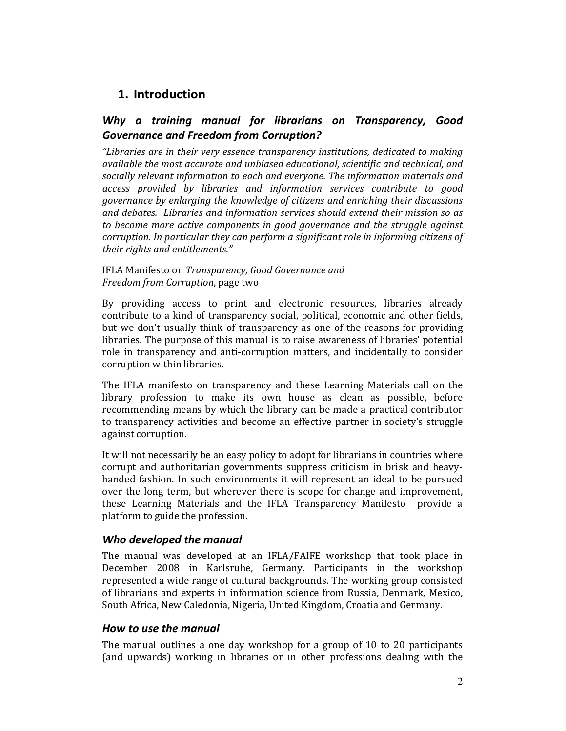# 1. Introduction

# Why a training manual for librarians on Transparency, Good Governance and Freedom from Corruption?

"Libraries are in their very essence transparency institutions, dedicated to making available the most accurate and unbiased educational, scientific and technical, and socially relevant information to each and everyone. The information materials and access provided by libraries and information services contribute to good governance by enlarging the knowledge of citizens and enriching their discussions and debates. Libraries and information services should extend their mission so as to become more active components in good governance and the struggle against corruption. In particular they can perform a significant role in informing citizens of their rights and entitlements."

## IFLA Manifesto on Transparency, Good Governance and Freedom from Corruption, page two

By providing access to print and electronic resources, libraries already contribute to a kind of transparency social, political, economic and other fields, but we don't usually think of transparency as one of the reasons for providing libraries. The purpose of this manual is to raise awareness of libraries' potential role in transparency and anti-corruption matters, and incidentally to consider corruption within libraries.

The IFLA manifesto on transparency and these Learning Materials call on the library profession to make its own house as clean as possible, before recommending means by which the library can be made a practical contributor to transparency activities and become an effective partner in society's struggle against corruption.

It will not necessarily be an easy policy to adopt for librarians in countries where corrupt and authoritarian governments suppress criticism in brisk and heavyhanded fashion. In such environments it will represent an ideal to be pursued over the long term, but wherever there is scope for change and improvement, these Learning Materials and the IFLA Transparency Manifesto provide a platform to guide the profession.

# Who developed the manual

The manual was developed at an IFLA/FAIFE workshop that took place in December 2008 in Karlsruhe, Germany. Participants in the workshop represented a wide range of cultural backgrounds. The working group consisted of librarians and experts in information science from Russia, Denmark, Mexico, South Africa, New Caledonia, Nigeria, United Kingdom, Croatia and Germany.

# How to use the manual

The manual outlines a one day workshop for a group of 10 to 20 participants (and upwards) working in libraries or in other professions dealing with the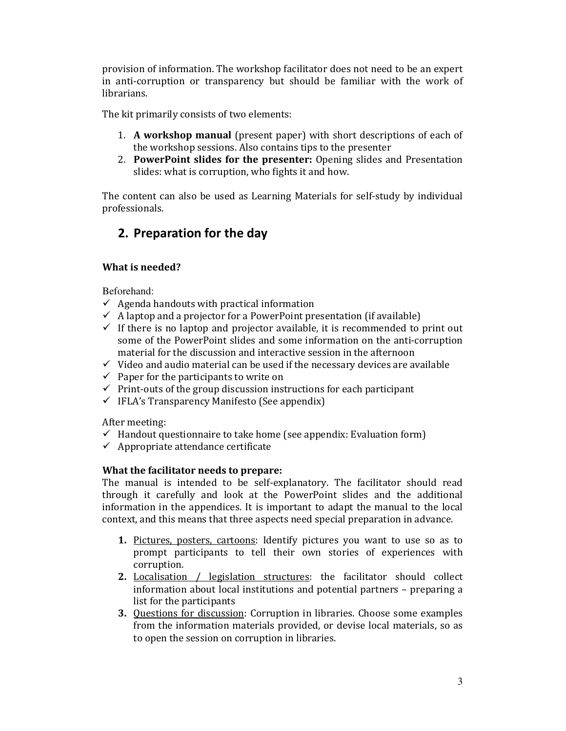provision of information. The workshop facilitator does not need to be an expert in anti-corruption or transparency but should be familiar with the work of librarians.

The kit primarily consists of two elements:

- 1. A workshop manual (present paper) with short descriptions of each of the workshop sessions. Also contains tips to the presenter
- 2. PowerPoint slides for the presenter: Opening slides and Presentation slides: what is corruption, who fights it and how.

The content can also be used as Learning Materials for self-study by individual professionals.

# 2. Preparation for the day

# What is needed?

Beforehand:

- $\checkmark$  Agenda handouts with practical information
- $\checkmark$  A laptop and a projector for a PowerPoint presentation (if available)
- $\checkmark$  If there is no laptop and projector available, it is recommended to print out some of the PowerPoint slides and some information on the anti-corruption material for the discussion and interactive session in the afternoon
- $\checkmark$  Video and audio material can be used if the necessary devices are available
- $\checkmark$  Paper for the participants to write on
- $\checkmark$  Print-outs of the group discussion instructions for each participant
- $\checkmark$  IFLA's Transparency Manifesto (See appendix)

After meeting:

- $\checkmark$  Handout questionnaire to take home (see appendix: Evaluation form)
- $\checkmark$  Appropriate attendance certificate

# What the facilitator needs to prepare:

The manual is intended to be self-explanatory. The facilitator should read through it carefully and look at the PowerPoint slides and the additional information in the appendices. It is important to adapt the manual to the local context, and this means that three aspects need special preparation in advance.

- 1. Pictures, posters, cartoons: Identify pictures you want to use so as to prompt participants to tell their own stories of experiences with corruption.
- 2. Localisation / legislation structures: the facilitator should collect information about local institutions and potential partners – preparing a list for the participants
- 3. Questions for discussion: Corruption in libraries. Choose some examples from the information materials provided, or devise local materials, so as to open the session on corruption in libraries.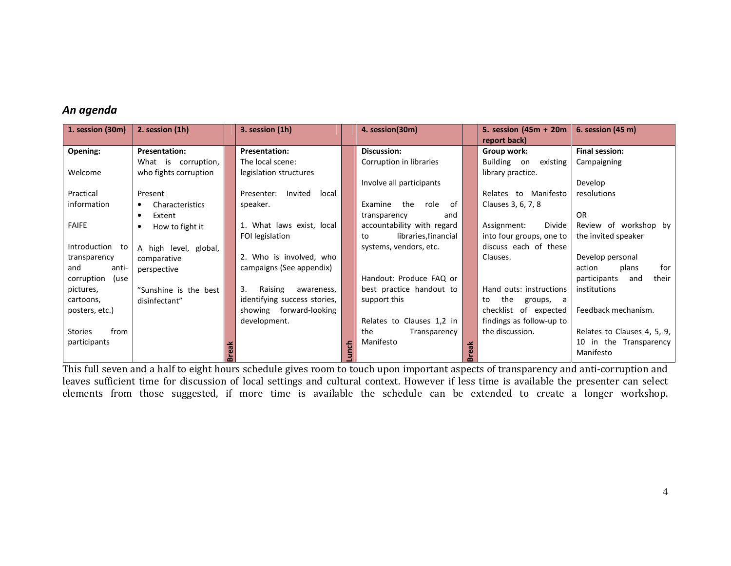# An agenda

| 1. session (30m)   | 2. session (1h)              |              | 3. session (1h)                |   | 4. session(30m)            |   | 5. session (45m + 20m    | 6. session (45 m)            |
|--------------------|------------------------------|--------------|--------------------------------|---|----------------------------|---|--------------------------|------------------------------|
|                    |                              |              |                                |   |                            |   | report back)             |                              |
| Opening:           | <b>Presentation:</b>         |              | <b>Presentation:</b>           |   | <b>Discussion:</b>         |   | Group work:              | Final session:               |
|                    | What is corruption,          |              | The local scene:               |   | Corruption in libraries    |   | Building on existing     | Campaigning                  |
| Welcome            | who fights corruption        |              | legislation structures         |   |                            |   | library practice.        |                              |
|                    |                              |              |                                |   | Involve all participants   |   |                          | Develop                      |
| Practical          | Present                      |              | Invited<br>local<br>Presenter: |   |                            |   | Relates to Manifesto     | resolutions                  |
| information        | Characteristics<br>$\bullet$ |              | speaker.                       |   | Examine the<br>role<br>of  |   | Clauses 3, 6, 7, 8       |                              |
|                    | Extent<br>$\bullet$          |              |                                |   | transparency<br>and        |   |                          | <b>OR</b>                    |
| <b>FAIFE</b>       | How to fight it<br>$\bullet$ |              | 1. What laws exist, local      |   | accountability with regard |   | Divide<br>Assignment:    | Review of workshop by        |
|                    |                              |              | FOI legislation                |   | libraries, financial<br>to |   | into four groups, one to | the invited speaker          |
| Introduction to    | A high level, global,        |              |                                |   | systems, vendors, etc.     |   | discuss each of these    |                              |
| transparency       | comparative                  |              | 2. Who is involved, who        |   |                            |   | Clauses.                 | Develop personal             |
| and<br>anti-       | perspective                  |              | campaigns (See appendix)       |   |                            |   |                          | action<br>for<br>plans       |
| corruption<br>(use |                              |              |                                |   | Handout: Produce FAQ or    |   |                          | their<br>participants<br>and |
| pictures,          | "Sunshine is the best        |              | Raising<br>3.<br>awareness,    |   | best practice handout to   |   | Hand outs: instructions  | institutions                 |
| cartoons,          | disinfectant"                |              | identifying success stories,   |   | support this               |   | the<br>to<br>groups, a   |                              |
| posters, etc.)     |                              |              | showing forward-looking        |   |                            |   | checklist of expected    | Feedback mechanism.          |
|                    |                              |              | development.                   |   | Relates to Clauses 1,2 in  |   | findings as follow-up to |                              |
| from<br>Stories    |                              |              |                                |   | the<br>Transparency        |   | the discussion.          | Relates to Clauses 4, 5, 9,  |
| participants       |                              |              |                                | 동 | Manifesto                  | ⊻ |                          | 10 in the Transparency       |
|                    |                              | <b>Break</b> |                                |   |                            |   |                          | Manifesto                    |

This full seven and a half to eight hours schedule gives room to touch upon important aspects of transparency and anti-corruption and leaves sufficient time for discussion of local settings and cultural context. However if less time is available the presenter can select elements from those suggested, if more time is available the schedule can be extended to create a longer workshop.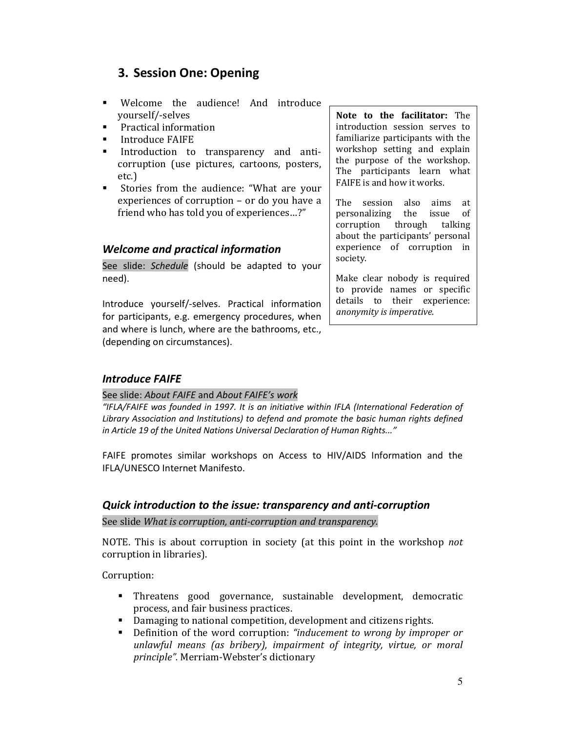# 3. Session One: Opening

- - Welcome the audience! And introduce yourself/-selves
- -Practical information
- -Introduce FAIFE
- - Introduction to transparency and anticorruption (use pictures, cartoons, posters, etc.)
- - Stories from the audience: "What are your experiences of corruption – or do you have a friend who has told you of experiences…?"

# Welcome and practical information

See slide: Schedule (should be adapted to your need).

Introduce yourself/-selves. Practical information for participants, e.g. emergency procedures, when and where is lunch, where are the bathrooms, etc., (depending on circumstances).

Note to the facilitator: The introduction session serves to familiarize participants with the workshop setting and explain the purpose of the workshop. The participants learn what FAIFE is and how it works.

The session also aims at personalizing the issue of corruption through talking about the participants' personal experience of corruption in society.

Make clear nobody is required to provide names or specific details to their experience: anonymity is imperative.

# Introduce FAIFE

### See slide: About FAIFE and About FAIFE's work

"IFLA/FAIFE was founded in 1997. It is an initiative within IFLA (International Federation of Library Association and Institutions) to defend and promote the basic human rights defined in Article 19 of the United Nations Universal Declaration of Human Rights..."

FAIFE promotes similar workshops on Access to HIV/AIDS Information and the IFLA/UNESCO Internet Manifesto.

## Quick introduction to the issue: transparency and anti-corruption

See slide What is corruption, anti-corruption and transparency.

NOTE. This is about corruption in society (at this point in the workshop not corruption in libraries).

Corruption:

- Threatens good governance, sustainable development, democratic process, and fair business practices.
- Damaging to national competition, development and citizens rights.
- - Definition of the word corruption: "inducement to wrong by improper or unlawful means (as bribery), impairment of integrity, virtue, or moral principle". Merriam-Webster's dictionary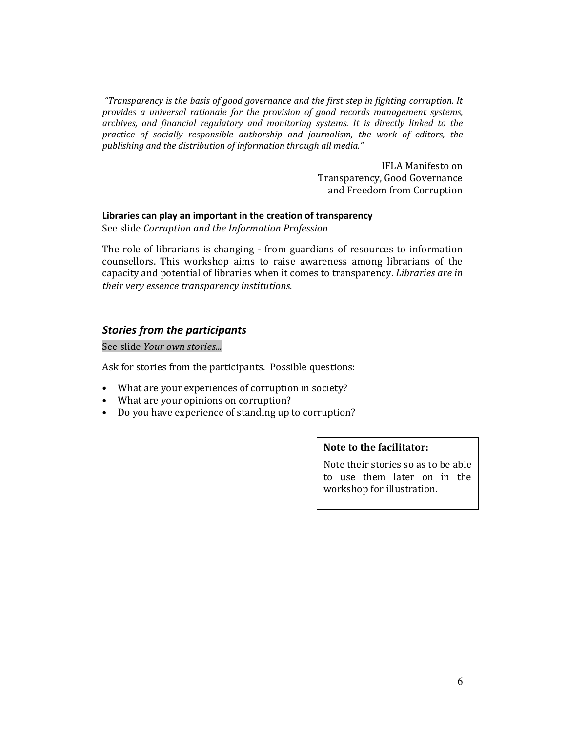"Transparency is the basis of good governance and the first step in fighting corruption. It provides a universal rationale for the provision of good records management systems, archives, and financial regulatory and monitoring systems. It is directly linked to the practice of socially responsible authorship and journalism, the work of editors, the publishing and the distribution of information through all media."

> IFLA Manifesto on Transparency, Good Governance and Freedom from Corruption

#### Libraries can play an important in the creation of transparency

See slide Corruption and the Information Profession

The role of librarians is changing - from guardians of resources to information counsellors. This workshop aims to raise awareness among librarians of the capacity and potential of libraries when it comes to transparency. Libraries are in their very essence transparency institutions.

### Stories from the participants

See slide Your own stories...

Ask for stories from the participants. Possible questions:

- What are your experiences of corruption in society?
- What are your opinions on corruption?
- Do you have experience of standing up to corruption?

## Note to the facilitator:

Note their stories so as to be able to use them later on in the workshop for illustration.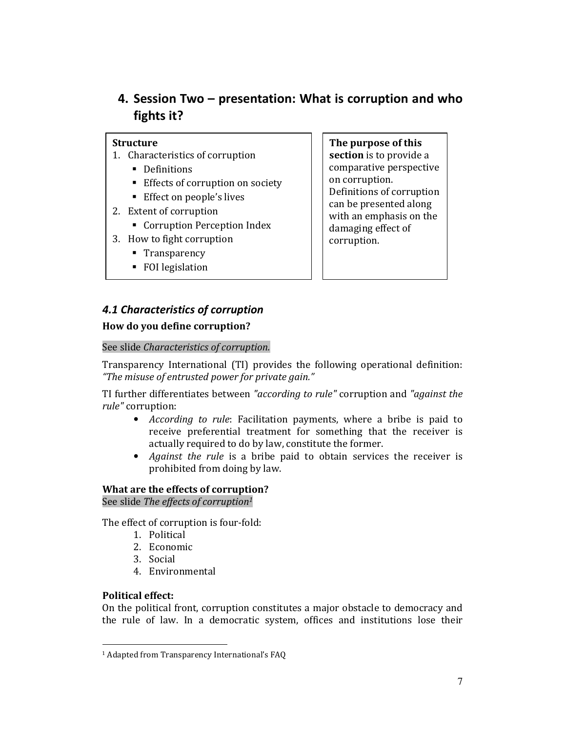# 4. Session Two – presentation: What is corruption and who fights it?

## **Structure**

- 1. Characteristics of corruption
	- **-** Definitions
	- **Effects of corruption on society**
	- **Effect on people's lives**
- 2. Extent of corruption
	- **Corruption Perception Index**
- 3. How to fight corruption
	- **Transparency**
	- FOI legislation

The purpose of this section is to provide a comparative perspective on corruption. Definitions of corruption can be presented along with an emphasis on the damaging effect of corruption.

# 4.1 Characteristics of corruption

# How do you define corruption?

## See slide Characteristics of corruption.

Transparency International (TI) provides the following operational definition: "The misuse of entrusted power for private gain."

TI further differentiates between "according to rule" corruption and "against the rule" corruption:

- According to rule: Facilitation payments, where a bribe is paid to receive preferential treatment for something that the receiver is actually required to do by law, constitute the former.
- Against the rule is a bribe paid to obtain services the receiver is prohibited from doing by law.

# What are the effects of corruption?

See slide The effects of corruption<sup>1</sup>

The effect of corruption is four-fold:

- 1. Political
- 2. Economic
- 3. Social
- 4. Environmental

## Political effect:

l

On the political front, corruption constitutes a major obstacle to democracy and the rule of law. In a democratic system, offices and institutions lose their

<sup>1</sup> Adapted from Transparency International's FAQ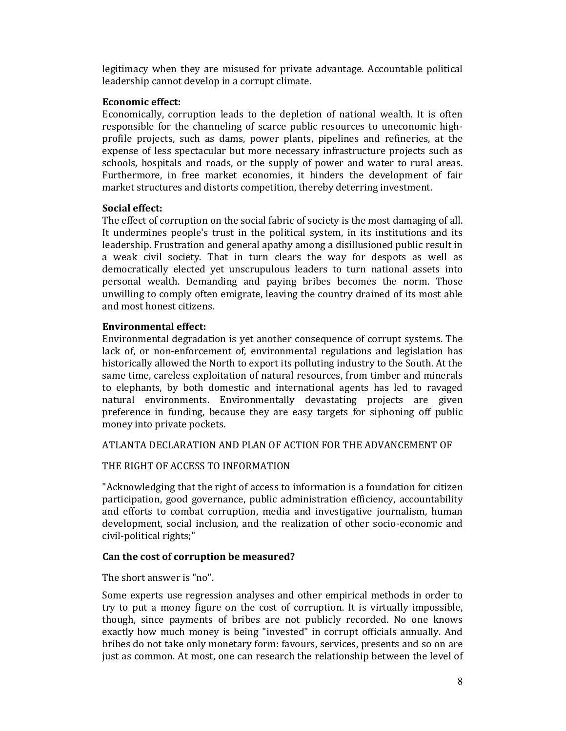legitimacy when they are misused for private advantage. Accountable political leadership cannot develop in a corrupt climate.

## Economic effect:

Economically, corruption leads to the depletion of national wealth. It is often responsible for the channeling of scarce public resources to uneconomic highprofile projects, such as dams, power plants, pipelines and refineries, at the expense of less spectacular but more necessary infrastructure projects such as schools, hospitals and roads, or the supply of power and water to rural areas. Furthermore, in free market economies, it hinders the development of fair market structures and distorts competition, thereby deterring investment.

## Social effect:

The effect of corruption on the social fabric of society is the most damaging of all. It undermines people's trust in the political system, in its institutions and its leadership. Frustration and general apathy among a disillusioned public result in a weak civil society. That in turn clears the way for despots as well as democratically elected yet unscrupulous leaders to turn national assets into personal wealth. Demanding and paying bribes becomes the norm. Those unwilling to comply often emigrate, leaving the country drained of its most able and most honest citizens.

## Environmental effect:

Environmental degradation is yet another consequence of corrupt systems. The lack of, or non-enforcement of, environmental regulations and legislation has historically allowed the North to export its polluting industry to the South. At the same time, careless exploitation of natural resources, from timber and minerals to elephants, by both domestic and international agents has led to ravaged natural environments. Environmentally devastating projects are given preference in funding, because they are easy targets for siphoning off public money into private pockets.

ATLANTA DECLARATION AND PLAN OF ACTION FOR THE ADVANCEMENT OF

## THE RIGHT OF ACCESS TO INFORMATION

"Acknowledging that the right of access to information is a foundation for citizen participation, good governance, public administration efficiency, accountability and efforts to combat corruption, media and investigative journalism, human development, social inclusion, and the realization of other socio-economic and civil-political rights;"

## Can the cost of corruption be measured?

The short answer is "no".

Some experts use regression analyses and other empirical methods in order to try to put a money figure on the cost of corruption. It is virtually impossible, though, since payments of bribes are not publicly recorded. No one knows exactly how much money is being "invested" in corrupt officials annually. And bribes do not take only monetary form: favours, services, presents and so on are just as common. At most, one can research the relationship between the level of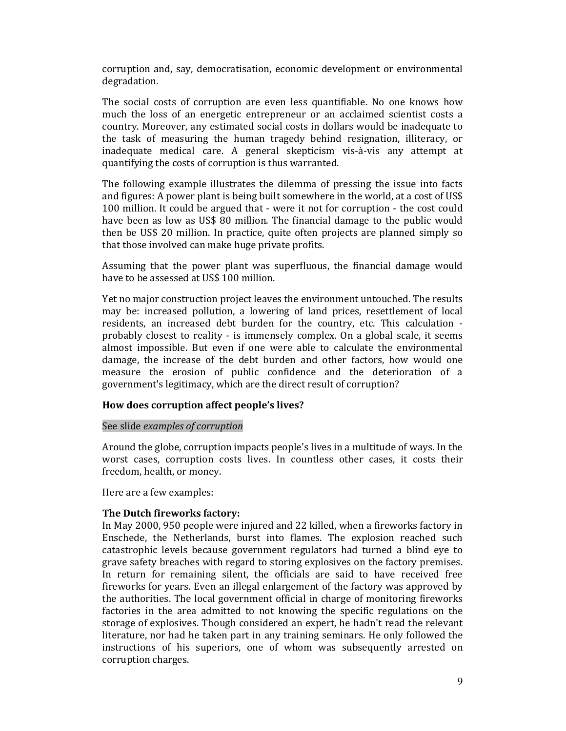corruption and, say, democratisation, economic development or environmental degradation.

The social costs of corruption are even less quantifiable. No one knows how much the loss of an energetic entrepreneur or an acclaimed scientist costs a country. Moreover, any estimated social costs in dollars would be inadequate to the task of measuring the human tragedy behind resignation, illiteracy, or inadequate medical care. A general skepticism vis-à-vis any attempt at quantifying the costs of corruption is thus warranted.

The following example illustrates the dilemma of pressing the issue into facts and figures: A power plant is being built somewhere in the world, at a cost of US\$ 100 million. It could be argued that - were it not for corruption - the cost could have been as low as US\$ 80 million. The financial damage to the public would then be US\$ 20 million. In practice, quite often projects are planned simply so that those involved can make huge private profits.

Assuming that the power plant was superfluous, the financial damage would have to be assessed at US\$ 100 million.

Yet no major construction project leaves the environment untouched. The results may be: increased pollution, a lowering of land prices, resettlement of local residents, an increased debt burden for the country, etc. This calculation probably closest to reality - is immensely complex. On a global scale, it seems almost impossible. But even if one were able to calculate the environmental damage, the increase of the debt burden and other factors, how would one measure the erosion of public confidence and the deterioration of a government's legitimacy, which are the direct result of corruption?

### How does corruption affect people's lives?

#### See slide examples of corruption

Around the globe, corruption impacts people's lives in a multitude of ways. In the worst cases, corruption costs lives. In countless other cases, it costs their freedom, health, or money.

Here are a few examples:

### The Dutch fireworks factory:

In May 2000, 950 people were injured and 22 killed, when a fireworks factory in Enschede, the Netherlands, burst into flames. The explosion reached such catastrophic levels because government regulators had turned a blind eye to grave safety breaches with regard to storing explosives on the factory premises. In return for remaining silent, the officials are said to have received free fireworks for years. Even an illegal enlargement of the factory was approved by the authorities. The local government official in charge of monitoring fireworks factories in the area admitted to not knowing the specific regulations on the storage of explosives. Though considered an expert, he hadn't read the relevant literature, nor had he taken part in any training seminars. He only followed the instructions of his superiors, one of whom was subsequently arrested on corruption charges.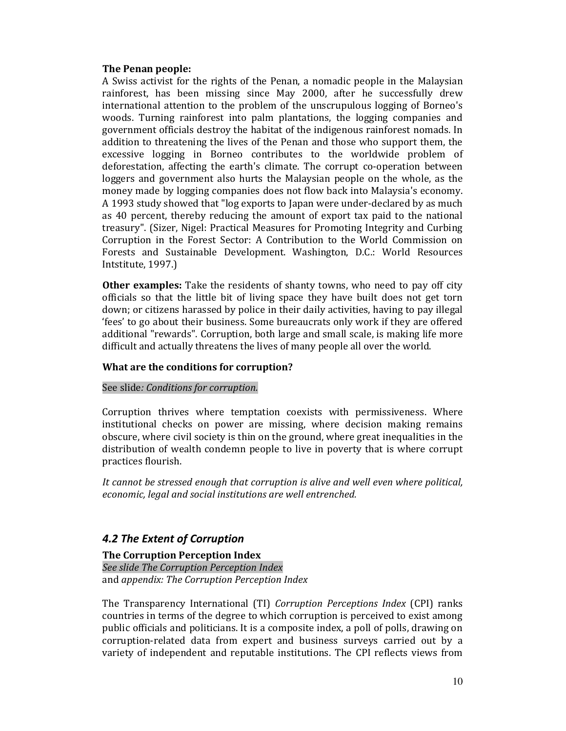## The Penan people:

A Swiss activist for the rights of the Penan, a nomadic people in the Malaysian rainforest, has been missing since May 2000, after he successfully drew international attention to the problem of the unscrupulous logging of Borneo's woods. Turning rainforest into palm plantations, the logging companies and government officials destroy the habitat of the indigenous rainforest nomads. In addition to threatening the lives of the Penan and those who support them, the excessive logging in Borneo contributes to the worldwide problem of deforestation, affecting the earth's climate. The corrupt co-operation between loggers and government also hurts the Malaysian people on the whole, as the money made by logging companies does not flow back into Malaysia's economy. A 1993 study showed that "log exports to Japan were under-declared by as much as 40 percent, thereby reducing the amount of export tax paid to the national treasury". (Sizer, Nigel: Practical Measures for Promoting Integrity and Curbing Corruption in the Forest Sector: A Contribution to the World Commission on Forests and Sustainable Development. Washington, D.C.: World Resources Intstitute, 1997.)

**Other examples:** Take the residents of shanty towns, who need to pay off city officials so that the little bit of living space they have built does not get torn down; or citizens harassed by police in their daily activities, having to pay illegal 'fees' to go about their business. Some bureaucrats only work if they are offered additional "rewards". Corruption, both large and small scale, is making life more difficult and actually threatens the lives of many people all over the world.

## What are the conditions for corruption?

### See slide: Conditions for corruption.

Corruption thrives where temptation coexists with permissiveness. Where institutional checks on power are missing, where decision making remains obscure, where civil society is thin on the ground, where great inequalities in the distribution of wealth condemn people to live in poverty that is where corrupt practices flourish.

It cannot be stressed enough that corruption is alive and well even where political, economic, legal and social institutions are well entrenched.

# 4.2 The Extent of Corruption

### The Corruption Perception Index

See slide The Corruption Perception Index and appendix: The Corruption Perception Index

The Transparency International (TI) Corruption Perceptions Index (CPI) ranks countries in terms of the degree to which corruption is perceived to exist among public officials and politicians. It is a composite index, a poll of polls, drawing on corruption-related data from expert and business surveys carried out by a variety of independent and reputable institutions. The CPI reflects views from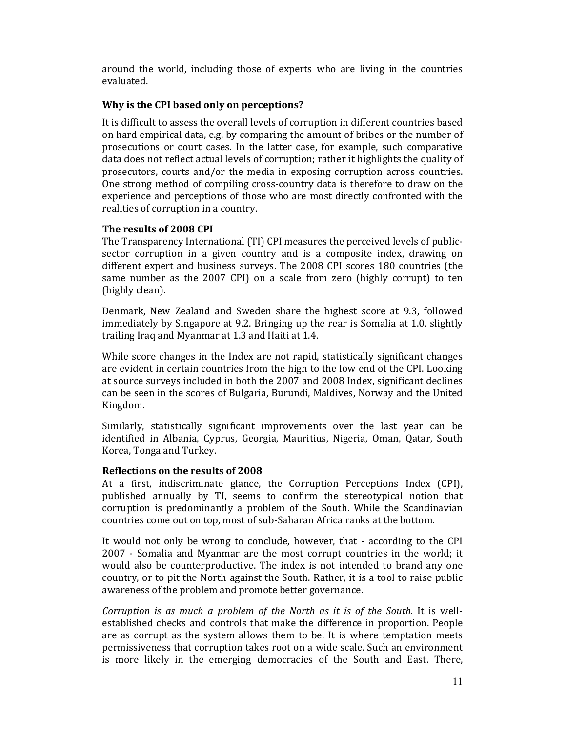around the world, including those of experts who are living in the countries evaluated.

## Why is the CPI based only on perceptions?

It is difficult to assess the overall levels of corruption in different countries based on hard empirical data, e.g. by comparing the amount of bribes or the number of prosecutions or court cases. In the latter case, for example, such comparative data does not reflect actual levels of corruption; rather it highlights the quality of prosecutors, courts and/or the media in exposing corruption across countries. One strong method of compiling cross-country data is therefore to draw on the experience and perceptions of those who are most directly confronted with the realities of corruption in a country.

## The results of 2008 CPI

The Transparency International (TI) CPI measures the perceived levels of publicsector corruption in a given country and is a composite index, drawing on different expert and business surveys. The 2008 CPI scores 180 countries (the same number as the 2007 CPI) on a scale from zero (highly corrupt) to ten (highly clean).

Denmark, New Zealand and Sweden share the highest score at 9.3, followed immediately by Singapore at 9.2. Bringing up the rear is Somalia at 1.0, slightly trailing Iraq and Myanmar at 1.3 and Haiti at 1.4.

While score changes in the Index are not rapid, statistically significant changes are evident in certain countries from the high to the low end of the CPI. Looking at source surveys included in both the 2007 and 2008 Index, significant declines can be seen in the scores of Bulgaria, Burundi, Maldives, Norway and the United Kingdom.

Similarly, statistically significant improvements over the last year can be identified in Albania, Cyprus, Georgia, Mauritius, Nigeria, Oman, Qatar, South Korea, Tonga and Turkey.

### Reflections on the results of 2008

At a first, indiscriminate glance, the Corruption Perceptions Index (CPI), published annually by TI, seems to confirm the stereotypical notion that corruption is predominantly a problem of the South. While the Scandinavian countries come out on top, most of sub-Saharan Africa ranks at the bottom.

It would not only be wrong to conclude, however, that - according to the CPI 2007 - Somalia and Myanmar are the most corrupt countries in the world; it would also be counterproductive. The index is not intended to brand any one country, or to pit the North against the South. Rather, it is a tool to raise public awareness of the problem and promote better governance.

Corruption is as much a problem of the North as it is of the South. It is wellestablished checks and controls that make the difference in proportion. People are as corrupt as the system allows them to be. It is where temptation meets permissiveness that corruption takes root on a wide scale. Such an environment is more likely in the emerging democracies of the South and East. There,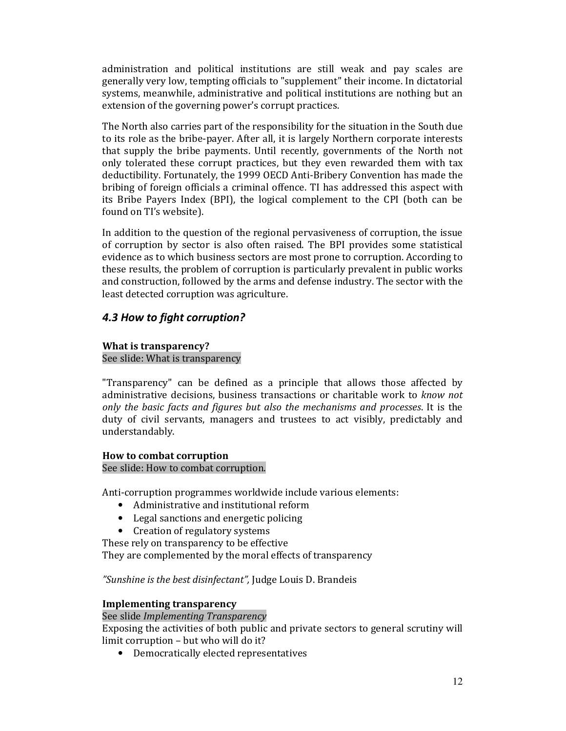administration and political institutions are still weak and pay scales are generally very low, tempting officials to "supplement" their income. In dictatorial systems, meanwhile, administrative and political institutions are nothing but an extension of the governing power's corrupt practices.

The North also carries part of the responsibility for the situation in the South due to its role as the bribe-payer. After all, it is largely Northern corporate interests that supply the bribe payments. Until recently, governments of the North not only tolerated these corrupt practices, but they even rewarded them with tax deductibility. Fortunately, the 1999 OECD Anti-Bribery Convention has made the bribing of foreign officials a criminal offence. TI has addressed this aspect with its Bribe Payers Index (BPI), the logical complement to the CPI (both can be found on TI's website).

In addition to the question of the regional pervasiveness of corruption, the issue of corruption by sector is also often raised. The BPI provides some statistical evidence as to which business sectors are most prone to corruption. According to these results, the problem of corruption is particularly prevalent in public works and construction, followed by the arms and defense industry. The sector with the least detected corruption was agriculture.

# 4.3 How to fight corruption?

## What is transparency?

## See slide: What is transparency

"Transparency" can be defined as a principle that allows those affected by administrative decisions, business transactions or charitable work to know not only the basic facts and figures but also the mechanisms and processes. It is the duty of civil servants, managers and trustees to act visibly, predictably and understandably.

## How to combat corruption

## See slide: How to combat corruption.

Anti-corruption programmes worldwide include various elements:

- Administrative and institutional reform
- Legal sanctions and energetic policing
- Creation of regulatory systems

These rely on transparency to be effective

They are complemented by the moral effects of transparency

## "Sunshine is the best disinfectant", Judge Louis D. Brandeis

## Implementing transparency

## See slide Implementing Transparency

Exposing the activities of both public and private sectors to general scrutiny will limit corruption – but who will do it?

• Democratically elected representatives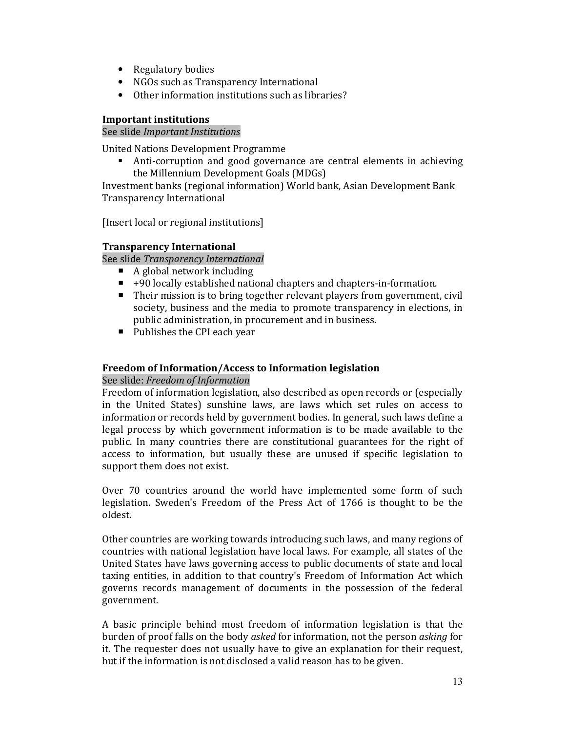- Regulatory bodies
- NGOs such as Transparency International
- Other information institutions such as libraries?

## Important institutions

## See slide Important Institutions

United Nations Development Programme

- Anti-corruption and good governance are central elements in achieving the Millennium Development Goals (MDGs)

Investment banks (regional information) World bank, Asian Development Bank Transparency International

[Insert local or regional institutions]

## Transparency International

See slide Transparency International

- $\blacksquare$  A global network including
- +90 locally established national chapters and chapters-in-formation.
- Their mission is to bring together relevant players from government, civil society, business and the media to promote transparency in elections, in public administration, in procurement and in business.
- Publishes the CPI each year

## Freedom of Information/Access to Information legislation

## See slide: Freedom of Information

Freedom of information legislation, also described as open records or (especially in the United States) sunshine laws, are laws which set rules on access to information or records held by government bodies. In general, such laws define a legal process by which government information is to be made available to the public. In many countries there are constitutional guarantees for the right of access to information, but usually these are unused if specific legislation to support them does not exist.

Over 70 countries around the world have implemented some form of such legislation. Sweden's Freedom of the Press Act of 1766 is thought to be the oldest.

Other countries are working towards introducing such laws, and many regions of countries with national legislation have local laws. For example, all states of the United States have laws governing access to public documents of state and local taxing entities, in addition to that country's Freedom of Information Act which governs records management of documents in the possession of the federal government.

A basic principle behind most freedom of information legislation is that the burden of proof falls on the body asked for information, not the person asking for it. The requester does not usually have to give an explanation for their request, but if the information is not disclosed a valid reason has to be given.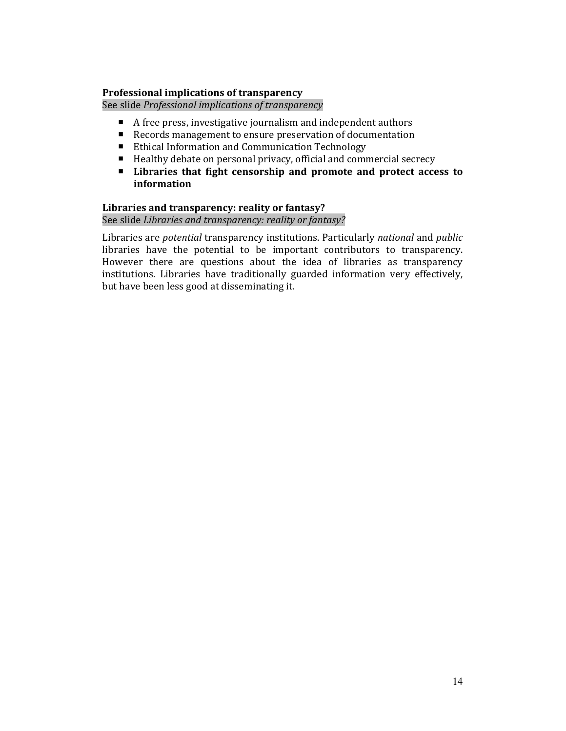## Professional implications of transparency

See slide Professional implications of transparency

- A free press, investigative journalism and independent authors
- Records management to ensure preservation of documentation
- Ethical Information and Communication Technology
- Healthy debate on personal privacy, official and commercial secrecy
- **EXECUTE:** Libraries that fight censorship and promote and protect access to information

### Libraries and transparency: reality or fantasy? See slide Libraries and transparency: reality or fantasy?

Libraries are potential transparency institutions. Particularly national and public libraries have the potential to be important contributors to transparency. However there are questions about the idea of libraries as transparency institutions. Libraries have traditionally guarded information very effectively, but have been less good at disseminating it.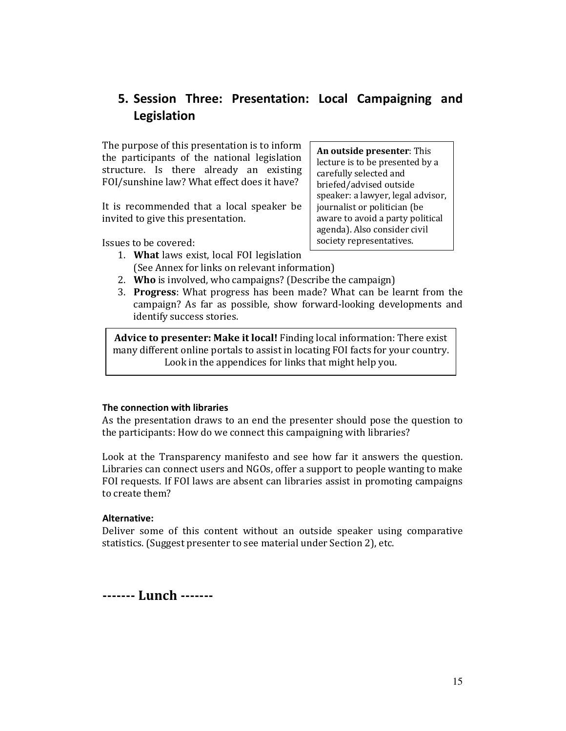# 5. Session Three: Presentation: Local Campaigning and Legislation

The purpose of this presentation is to inform the participants of the national legislation structure. Is there already an existing FOI/sunshine law? What effect does it have?

It is recommended that a local speaker be invited to give this presentation.

Issues to be covered:

- 1. What laws exist, local FOI legislation
- lecture is to be presented by a carefully selected and briefed/advised outside speaker: a lawyer, legal advisor, journalist or politician (be aware to avoid a party political agenda). Also consider civil society representatives.

An outside presenter: This

- (See Annex for links on relevant information)
- 2. Who is involved, who campaigns? (Describe the campaign)
- 3. Progress: What progress has been made? What can be learnt from the campaign? As far as possible, show forward-looking developments and identify success stories.

Advice to presenter: Make it local! Finding local information: There exist many different online portals to assist in locating FOI facts for your country. Look in the appendices for links that might help you.

## The connection with libraries

As the presentation draws to an end the presenter should pose the question to the participants: How do we connect this campaigning with libraries?

Look at the Transparency manifesto and see how far it answers the question. Libraries can connect users and NGOs, offer a support to people wanting to make FOI requests. If FOI laws are absent can libraries assist in promoting campaigns to create them?

## Alternative:

Deliver some of this content without an outside speaker using comparative statistics. (Suggest presenter to see material under Section 2), etc.

------- Lunch -------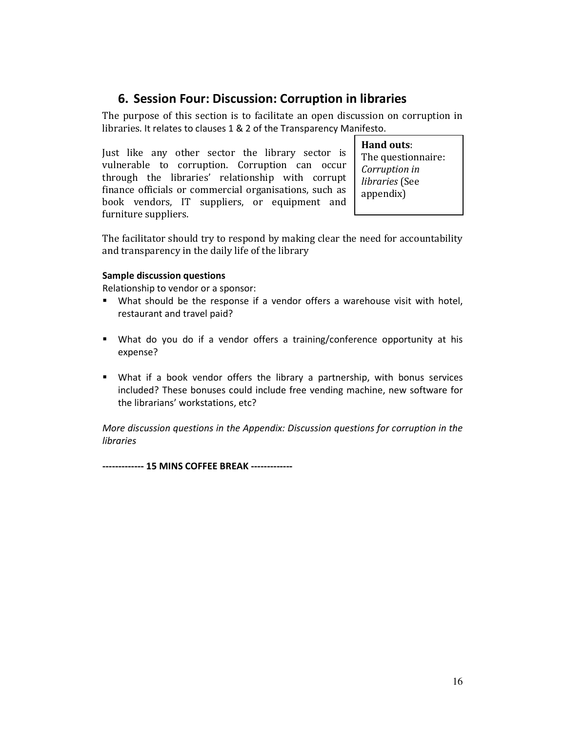# 6. Session Four: Discussion: Corruption in libraries

The purpose of this section is to facilitate an open discussion on corruption in libraries. It relates to clauses 1 & 2 of the Transparency Manifesto.

Just like any other sector the library sector is vulnerable to corruption. Corruption can occur through the libraries' relationship with corrupt finance officials or commercial organisations, such as book vendors, IT suppliers, or equipment and furniture suppliers.

Hand outs: The questionnaire: Corruption in libraries (See appendix)

The facilitator should try to respond by making clear the need for accountability and transparency in the daily life of the library

### Sample discussion questions

Relationship to vendor or a sponsor:

- What should be the response if a vendor offers a warehouse visit with hotel, restaurant and travel paid?
- " What do you do if a vendor offers a training/conference opportunity at his expense?
- What if a book vendor offers the library a partnership, with bonus services included? These bonuses could include free vending machine, new software for the librarians' workstations, etc?

More discussion questions in the Appendix: Discussion questions for corruption in the libraries

------------- 15 MINS COFFEE BREAK -------------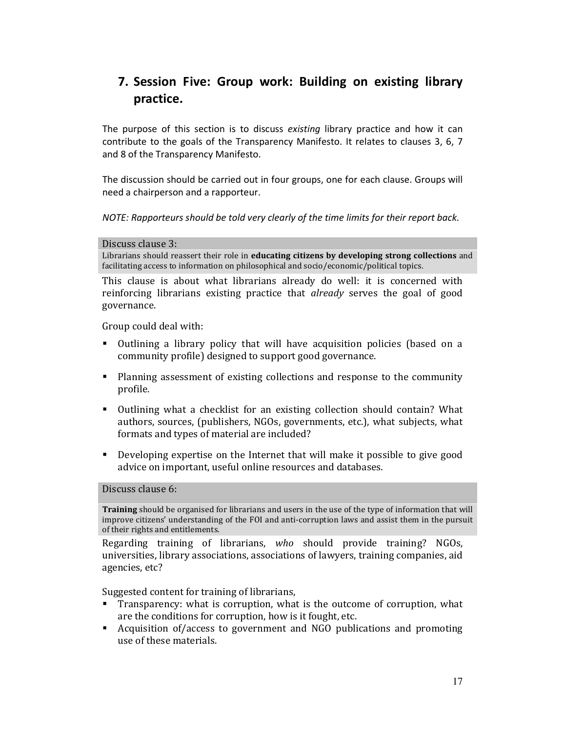# 7. Session Five: Group work: Building on existing library practice.

The purpose of this section is to discuss existing library practice and how it can contribute to the goals of the Transparency Manifesto. It relates to clauses 3, 6, 7 and 8 of the Transparency Manifesto.

The discussion should be carried out in four groups, one for each clause. Groups will need a chairperson and a rapporteur.

NOTE: Rapporteurs should be told very clearly of the time limits for their report back.

#### Discuss clause 3:

Librarians should reassert their role in educating citizens by developing strong collections and facilitating access to information on philosophical and socio/economic/political topics.

This clause is about what librarians already do well: it is concerned with reinforcing librarians existing practice that already serves the goal of good governance.

Group could deal with:

- - Outlining a library policy that will have acquisition policies (based on a community profile) designed to support good governance.
- - Planning assessment of existing collections and response to the community profile.
- - Outlining what a checklist for an existing collection should contain? What authors, sources, (publishers, NGOs, governments, etc.), what subjects, what formats and types of material are included?
- - Developing expertise on the Internet that will make it possible to give good advice on important, useful online resources and databases.

Discuss clause 6:

Training should be organised for librarians and users in the use of the type of information that will improve citizens' understanding of the FOI and anti-corruption laws and assist them in the pursuit of their rights and entitlements.

Regarding training of librarians, who should provide training? NGOs, universities, library associations, associations of lawyers, training companies, aid agencies, etc?

Suggested content for training of librarians,

- - Transparency: what is corruption, what is the outcome of corruption, what are the conditions for corruption, how is it fought, etc.
- - Acquisition of/access to government and NGO publications and promoting use of these materials.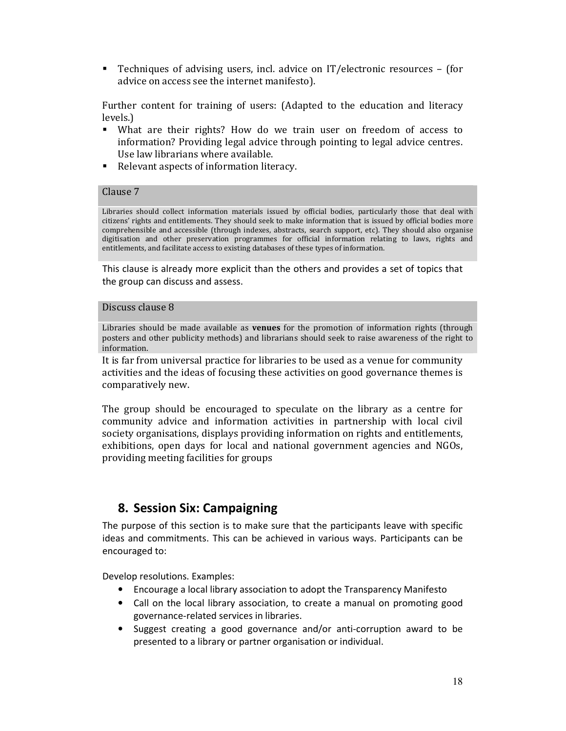- Techniques of advising users, incl. advice on IT/electronic resources – (for advice on access see the internet manifesto).

Further content for training of users: (Adapted to the education and literacy levels.)

- What are their rights? How do we train user on freedom of access to information? Providing legal advice through pointing to legal advice centres. Use law librarians where available.
- Relevant aspects of information literacy.

#### Clause 7

Libraries should collect information materials issued by official bodies, particularly those that deal with citizens' rights and entitlements. They should seek to make information that is issued by official bodies more comprehensible and accessible (through indexes, abstracts, search support, etc). They should also organise digitisation and other preservation programmes for official information relating to laws, rights and entitlements, and facilitate access to existing databases of these types of information.

This clause is already more explicit than the others and provides a set of topics that the group can discuss and assess.

#### Discuss clause 8

Libraries should be made available as **venues** for the promotion of information rights (through posters and other publicity methods) and librarians should seek to raise awareness of the right to information.

It is far from universal practice for libraries to be used as a venue for community activities and the ideas of focusing these activities on good governance themes is comparatively new.

The group should be encouraged to speculate on the library as a centre for community advice and information activities in partnership with local civil society organisations, displays providing information on rights and entitlements, exhibitions, open days for local and national government agencies and NGOs, providing meeting facilities for groups

# 8. Session Six: Campaigning

The purpose of this section is to make sure that the participants leave with specific ideas and commitments. This can be achieved in various ways. Participants can be encouraged to:

Develop resolutions. Examples:

- Encourage a local library association to adopt the Transparency Manifesto
- Call on the local library association, to create a manual on promoting good governance-related services in libraries.
- Suggest creating a good governance and/or anti-corruption award to be presented to a library or partner organisation or individual.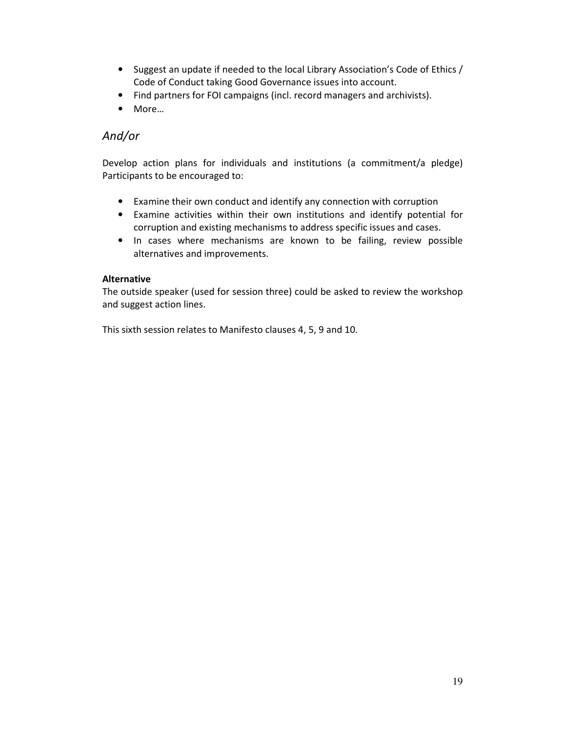- Suggest an update if needed to the local Library Association's Code of Ethics / Code of Conduct taking Good Governance issues into account.
- Find partners for FOI campaigns (incl. record managers and archivists).
- More…

# And/or

Develop action plans for individuals and institutions (a commitment/a pledge) Participants to be encouraged to:

- Examine their own conduct and identify any connection with corruption
- Examine activities within their own institutions and identify potential for corruption and existing mechanisms to address specific issues and cases.
- In cases where mechanisms are known to be failing, review possible alternatives and improvements.

## Alternative

The outside speaker (used for session three) could be asked to review the workshop and suggest action lines.

This sixth session relates to Manifesto clauses 4, 5, 9 and 10.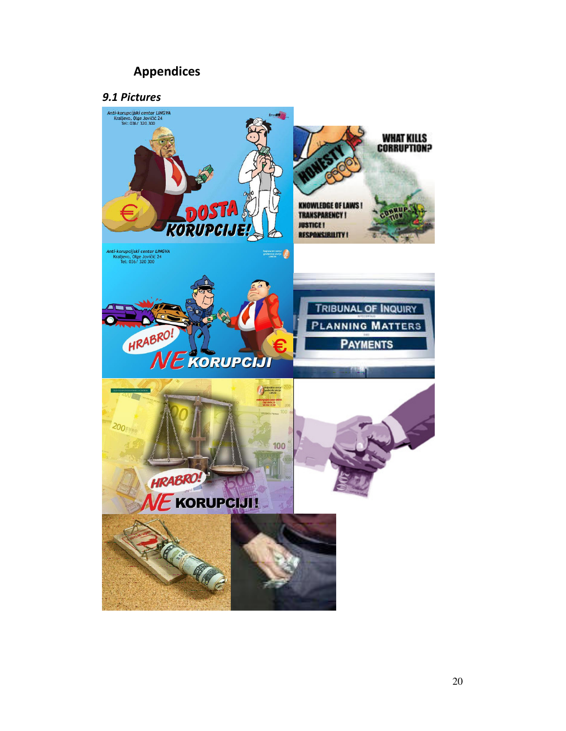# Appendices

# 9.1 Pictures

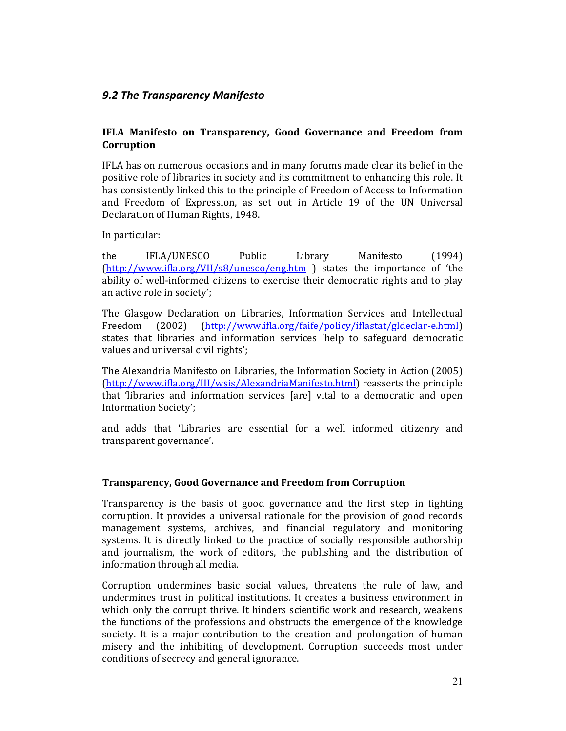# 9.2 The Transparency Manifesto

## IFLA Manifesto on Transparency, Good Governance and Freedom from **Corruption**

IFLA has on numerous occasions and in many forums made clear its belief in the positive role of libraries in society and its commitment to enhancing this role. It has consistently linked this to the principle of Freedom of Access to Information and Freedom of Expression, as set out in Article 19 of the UN Universal Declaration of Human Rights, 1948.

In particular:

the IFLA/UNESCO Public Library Manifesto (1994) (http://www.ifla.org/VII/s8/unesco/eng.htm ) states the importance of 'the ability of well-informed citizens to exercise their democratic rights and to play an active role in society';

The Glasgow Declaration on Libraries, Information Services and Intellectual Freedom (2002) (http://www.ifla.org/faife/policy/iflastat/gldeclar-e.html) states that libraries and information services 'help to safeguard democratic values and universal civil rights';

The Alexandria Manifesto on Libraries, the Information Society in Action (2005) (http://www.ifla.org/III/wsis/AlexandriaManifesto.html) reasserts the principle that 'libraries and information services [are] vital to a democratic and open Information Society';

and adds that 'Libraries are essential for a well informed citizenry and transparent governance'.

## Transparency, Good Governance and Freedom from Corruption

Transparency is the basis of good governance and the first step in fighting corruption. It provides a universal rationale for the provision of good records management systems, archives, and financial regulatory and monitoring systems. It is directly linked to the practice of socially responsible authorship and journalism, the work of editors, the publishing and the distribution of information through all media.

Corruption undermines basic social values, threatens the rule of law, and undermines trust in political institutions. It creates a business environment in which only the corrupt thrive. It hinders scientific work and research, weakens the functions of the professions and obstructs the emergence of the knowledge society. It is a major contribution to the creation and prolongation of human misery and the inhibiting of development. Corruption succeeds most under conditions of secrecy and general ignorance.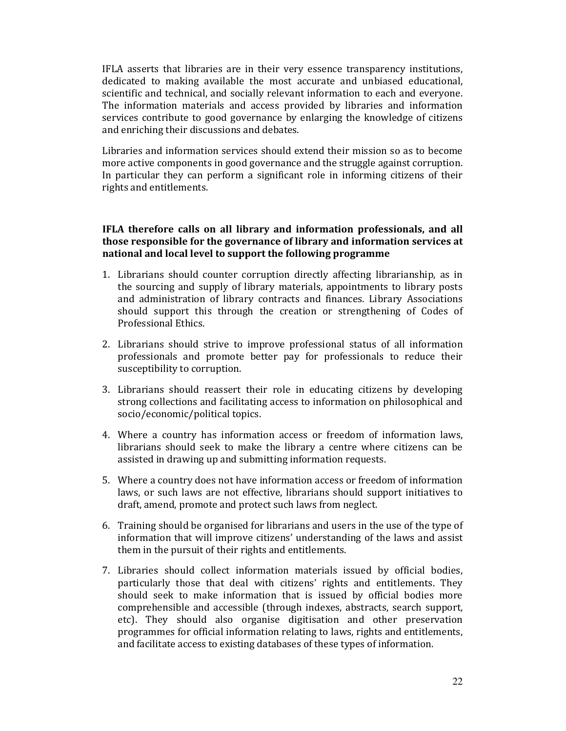IFLA asserts that libraries are in their very essence transparency institutions, dedicated to making available the most accurate and unbiased educational, scientific and technical, and socially relevant information to each and everyone. The information materials and access provided by libraries and information services contribute to good governance by enlarging the knowledge of citizens and enriching their discussions and debates.

Libraries and information services should extend their mission so as to become more active components in good governance and the struggle against corruption. In particular they can perform a significant role in informing citizens of their rights and entitlements.

## IFLA therefore calls on all library and information professionals, and all those responsible for the governance of library and information services at national and local level to support the following programme

- 1. Librarians should counter corruption directly affecting librarianship, as in the sourcing and supply of library materials, appointments to library posts and administration of library contracts and finances. Library Associations should support this through the creation or strengthening of Codes of Professional Ethics.
- 2. Librarians should strive to improve professional status of all information professionals and promote better pay for professionals to reduce their susceptibility to corruption.
- 3. Librarians should reassert their role in educating citizens by developing strong collections and facilitating access to information on philosophical and socio/economic/political topics.
- 4. Where a country has information access or freedom of information laws, librarians should seek to make the library a centre where citizens can be assisted in drawing up and submitting information requests.
- 5. Where a country does not have information access or freedom of information laws, or such laws are not effective, librarians should support initiatives to draft, amend, promote and protect such laws from neglect.
- 6. Training should be organised for librarians and users in the use of the type of information that will improve citizens' understanding of the laws and assist them in the pursuit of their rights and entitlements.
- 7. Libraries should collect information materials issued by official bodies, particularly those that deal with citizens' rights and entitlements. They should seek to make information that is issued by official bodies more comprehensible and accessible (through indexes, abstracts, search support, etc). They should also organise digitisation and other preservation programmes for official information relating to laws, rights and entitlements, and facilitate access to existing databases of these types of information.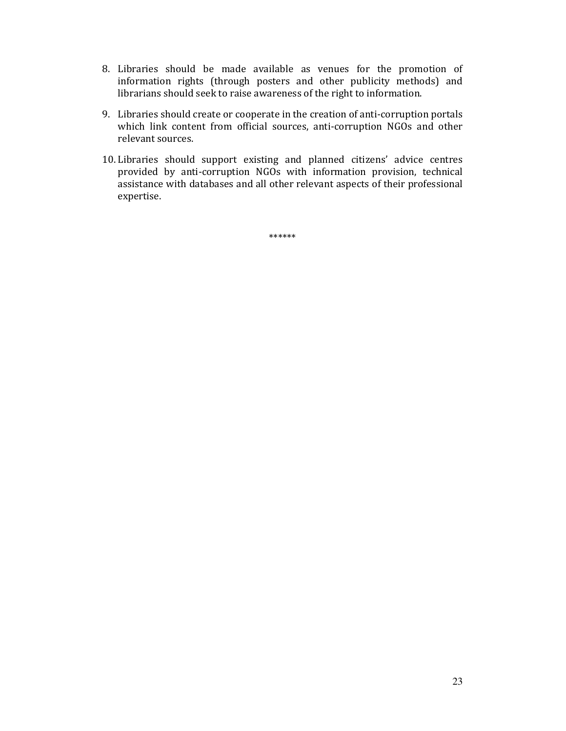- 8. Libraries should be made available as venues for the promotion of information rights (through posters and other publicity methods) and librarians should seek to raise awareness of the right to information.
- 9. Libraries should create or cooperate in the creation of anti-corruption portals which link content from official sources, anti-corruption NGOs and other relevant sources.
- 10. Libraries should support existing and planned citizens' advice centres provided by anti-corruption NGOs with information provision, technical assistance with databases and all other relevant aspects of their professional expertise.

\*\*\*\*\*\*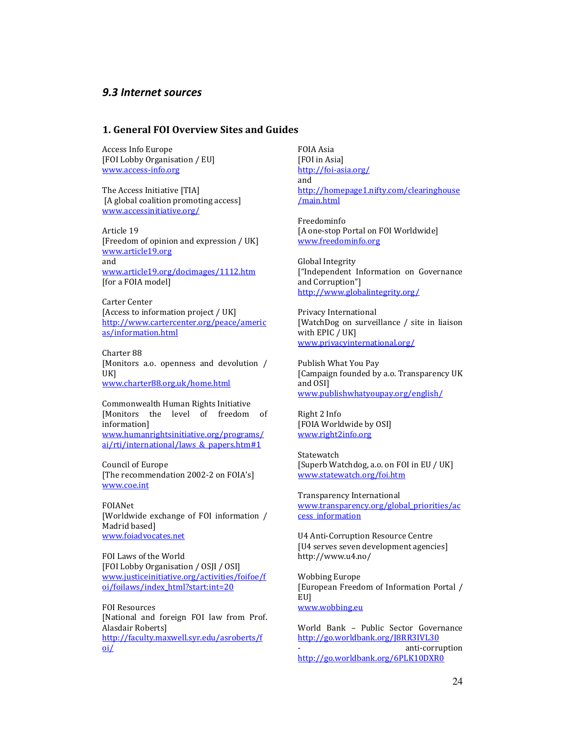## 9.3 Internet sources

### 1. General FOI Overview Sites and Guides

Access Info Europe [FOI Lobby Organisation / EU] www.access-info.org

The Access Initiative [TIA] [A global coalition promoting access] www.accessinitiative.org/

Article 19 [Freedom of opinion and expression / UK] www.article19.org and www.article19.org/docimages/1112.htm [for a FOIA model]

Carter Center [Access to information project / UK] http://www.cartercenter.org/peace/americ as/information.html

Charter 88 [Monitors a.o. openness and devolution / UK] www.charter88.org.uk/home.html

Commonwealth Human Rights Initiative [Monitors the level of freedom of information] www.humanrightsinitiative.org/programs/ ai/rti/international/laws\_&\_papers.htm#1

Council of Europe [The recommendation 2002-2 on FOIA's] www.coe.int

FOIANet [Worldwide exchange of FOI information / Madrid based] www.foiadvocates.net

FOI Laws of the World [FOI Lobby Organisation / OSJI / OSI] www.justiceinitiative.org/activities/foifoe/f oi/foilaws/index\_html?start:int=20

FOI Resources [National and foreign FOI law from Prof. Alasdair Roberts] http://faculty.maxwell.syr.edu/asroberts/f oi/

FOIA Asia [FOI in Asia] http://foi-asia.org/ and http://homepage1.nifty.com/clearinghouse /main.html

Freedominfo [A one-stop Portal on FOI Worldwide] www.freedominfo.org

Global Integrity ["Independent Information on Governance and Corruption"] http://www.globalintegrity.org/

Privacy International [WatchDog on surveillance / site in liaison with EPIC / UK] www.privacyinternational.org/

Publish What You Pay [Campaign founded by a.o. Transparency UK and OSI] www.publishwhatyoupay.org/english/

Right 2 Info [FOIA Worldwide by OSI] www.right2info.org

Statewatch [Superb Watchdog, a.o. on FOI in EU / UK] www.statewatch.org/foi.htm

Transparency International www.transparency.org/global\_priorities/ac cess\_information

U4 Anti-Corruption Resource Centre [U4 serves seven development agencies] http://www.u4.no/

Wobbing Europe [European Freedom of Information Portal / EU] www.wobbing.eu

World Bank – Public Sector Governance http://go.worldbank.org/J8RR3IVL30 anti-corruption http://go.worldbank.org/6PLK10DXR0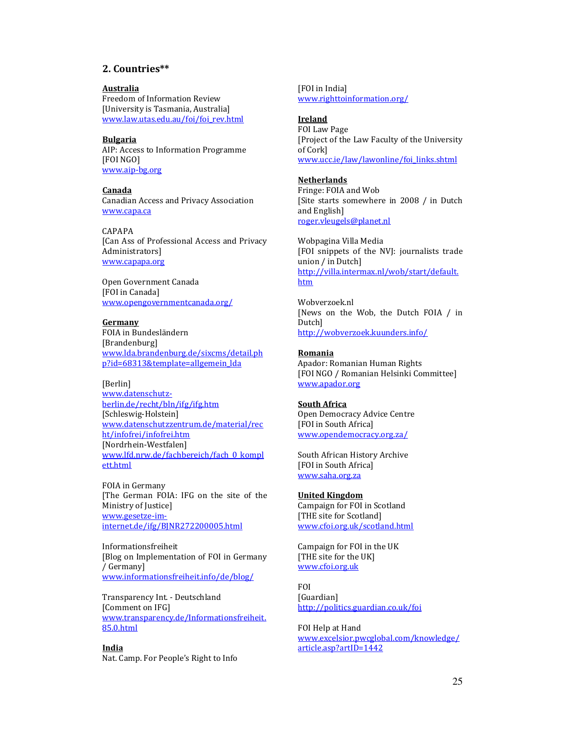### 2. Countries\*\*

#### Australia

Freedom of Information Review [University is Tasmania, Australia] www.law.utas.edu.au/foi/foi\_rev.html

#### Bulgaria

AIP: Access to Information Programme [FOI NGO] www.aip-bg.org

#### Canada

Canadian Access and Privacy Association www.capa.ca

CAPAPA [Can Ass of Professional Access and Privacy Administrators] www.capapa.org

Open Government Canada [FOI in Canada] www.opengovernmentcanada.org/

#### Germany

FOIA in Bundesländern [Brandenburg] www.lda.brandenburg.de/sixcms/detail.ph p?id=68313&template=allgemein\_lda

#### [Berlin]

www.datenschutzberlin.de/recht/bln/ifg/ifg.htm [Schleswig-Holstein] www.datenschutzzentrum.de/material/rec ht/infofrei/infofrei.htm [Nordrhein-Westfalen] www.lfd.nrw.de/fachbereich/fach\_0\_kompl ett.html

FOIA in Germany [The German FOIA: IFG on the site of the Ministry of Justice] www.gesetze-iminternet.de/ifg/BJNR272200005.html

Informationsfreiheit [Blog on Implementation of FOI in Germany / Germany] www.informationsfreiheit.info/de/blog/

Transparency Int. - Deutschland [Comment on IFG] www.transparency.de/Informationsfreiheit. 85.0.html

India Nat. Camp. For People's Right to Info [FOI in India] www.righttoinformation.org/

#### Ireland

FOI Law Page [Project of the Law Faculty of the University of Cork] www.ucc.ie/law/lawonline/foi\_links.shtml

#### Netherlands

Fringe: FOIA and Wob [Site starts somewhere in 2008 / in Dutch and English] roger.vleugels@planet.nl

Wobpagina Villa Media [FOI snippets of the NVJ: journalists trade union / in Dutch] http://villa.intermax.nl/wob/start/default. htm

Wobverzoek.nl [News on the Wob, the Dutch FOIA / in Dutch] http://wobverzoek.kuunders.info/

#### Romania

Apador: Romanian Human Rights [FOI NGO / Romanian Helsinki Committee] www.apador.org

#### South Africa

Open Democracy Advice Centre [FOI in South Africa] www.opendemocracy.org.za/

South African History Archive [FOI in South Africa] www.saha.org.za

#### United Kingdom

Campaign for FOI in Scotland [THE site for Scotland] www.cfoi.org.uk/scotland.html

Campaign for FOI in the UK [THE site for the UK] www.cfoi.org.uk

FOI [Guardian] http://politics.guardian.co.uk/foi

FOI Help at Hand www.excelsior.pwcglobal.com/knowledge/ article.asp?artID=1442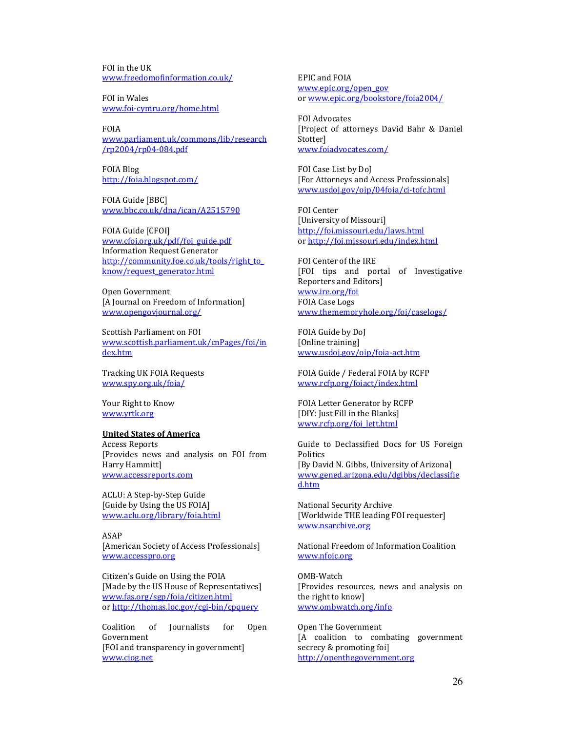FOI in the UK www.freedomofinformation.co.uk/

FOI in Wales www.foi-cymru.org/home.html

FOIA www.parliament.uk/commons/lib/research /rp2004/rp04-084.pdf

FOIA Blog http://foia.blogspot.com/

FOIA Guide [BBC] www.bbc.co.uk/dna/ican/A2515790

FOIA Guide [CFOI] www.cfoi.org.uk/pdf/foi\_guide.pdf Information Request Generator http://community.foe.co.uk/tools/right\_to\_ know/request\_generator.html

Open Government [A Journal on Freedom of Information] www.opengovjournal.org/

Scottish Parliament on FOI www.scottish.parliament.uk/cnPages/foi/in dex.htm

Tracking UK FOIA Requests www.spy.org.uk/foia/

Your Right to Know www.yrtk.org

#### United States of America

Access Reports [Provides news and analysis on FOI from Harry Hammitt] www.accessreports.com

ACLU: A Step-by-Step Guide [Guide by Using the US FOIA] www.aclu.org/library/foia.html

ASAP

[American Society of Access Professionals] www.accesspro.org

Citizen's Guide on Using the FOIA [Made by the US House of Representatives] www.fas.org/sgp/foia/citizen.html or http://thomas.loc.gov/cgi-bin/cpquery

Coalition of Journalists for Open Government [FOI and transparency in government] www.cjog.net

EPIC and FOIA www.epic.org/open\_gov or www.epic.org/bookstore/foia2004/

FOI Advocates [Project of attorneys David Bahr & Daniel **Stotter1** www.foiadvocates.com/

FOI Case List by DoJ [For Attorneys and Access Professionals] www.usdoj.gov/oip/04foia/ci-tofc.html

FOI Center [University of Missouri] http://foi.missouri.edu/laws.html or http://foi.missouri.edu/index.html

FOI Center of the IRE [FOI tips and portal of Investigative Reporters and Editors] www.ire.org/foi FOIA Case Logs www.thememoryhole.org/foi/caselogs/

FOIA Guide by DoJ [Online training] www.usdoj.gov/oip/foia-act.htm

FOIA Guide / Federal FOIA by RCFP www.rcfp.org/foiact/index.html

FOIA Letter Generator by RCFP [DIY: Just Fill in the Blanks] www.rcfp.org/foi\_lett.html

Guide to Declassified Docs for US Foreign **Politics** [By David N. Gibbs, University of Arizona] www.gened.arizona.edu/dgibbs/declassifie d.htm

National Security Archive [Worldwide THE leading FOI requester] www.nsarchive.org

National Freedom of Information Coalition www.nfoic.org

OMB-Watch [Provides resources, news and analysis on the right to know] www.ombwatch.org/info

Open The Government [A coalition to combating government secrecy & promoting foi] http://openthegovernment.org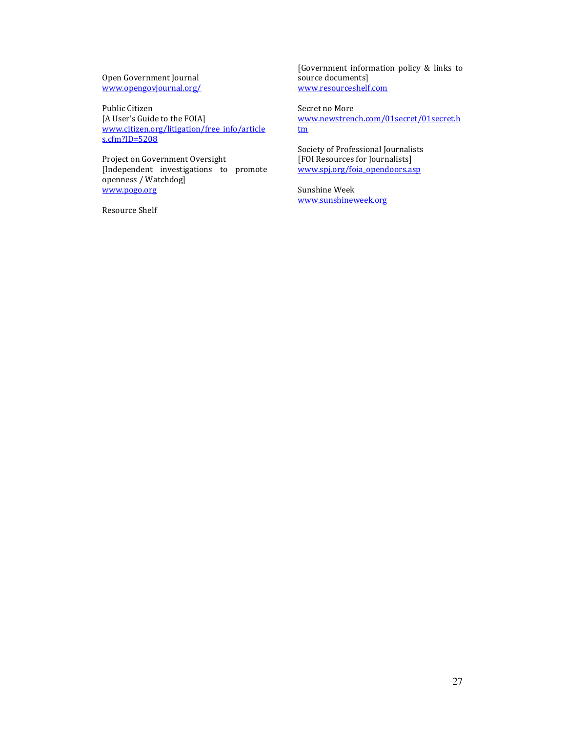Open Government Journal www.opengovjournal.org/

Public Citizen [A User's Guide to the FOIA] www.citizen.org/litigation/free\_info/article s.cfm?ID=5208

Project on Government Oversight [Independent investigations to promote openness / Watchdog] www.pogo.org

Resource Shelf

[Government information policy & links to source documents] www.resourceshelf.com

Secret no More www.newstrench.com/01secret/01secret.h tm

Society of Professional Journalists [FOI Resources for Journalists] www.spj.org/foia\_opendoors.asp

Sunshine Week www.sunshineweek.org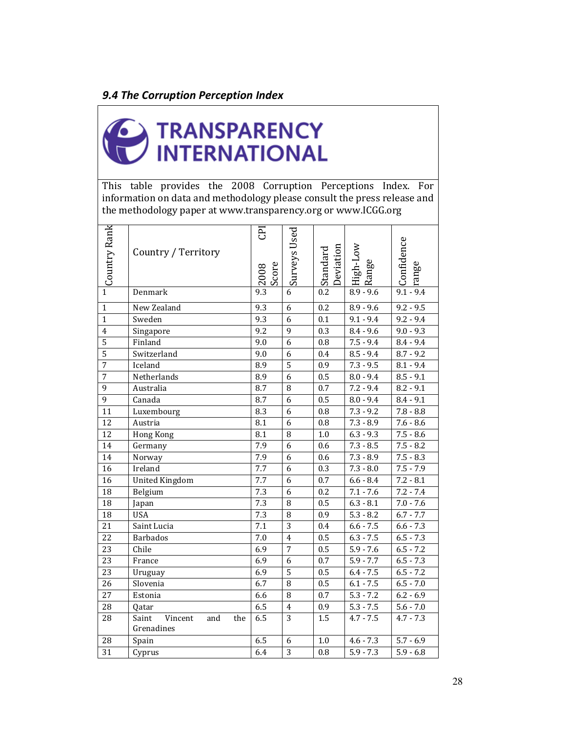# 9.4 The Corruption Perception Index



This table provides the 2008 Corruption Perceptions Index. For information on data and methodology please consult the press release and the methodology paper at www.transparency.org or www.ICGG.org

| Country Rank            | Country / Territory                          | E<br>Score<br>2008 | <b>Surveys Used</b> | Deviation<br>Standard | Wo <sub>T</sub> -tagiH<br>Range | Confidence<br>range    |
|-------------------------|----------------------------------------------|--------------------|---------------------|-----------------------|---------------------------------|------------------------|
| $\overline{1}$          | Denmark                                      | 9.3                | 6                   | $\overline{0.2}$      | $8.9 - 9.6$                     | $9.1 - 9.4$            |
| $\mathbf{1}$            | New Zealand                                  | 9.3                | 6                   | 0.2                   | $8.9 - 9.6$                     | $9.2 - 9.5$            |
| $\overline{1}$          | Sweden                                       | 9.3                | 6                   | 0.1                   | $9.1 - 9.4$                     | $9.2 - 9.4$            |
| $\overline{\mathbf{4}}$ | Singapore                                    | 9.2                | 9                   | 0.3                   | $8.4 - 9.6$                     | $9.0 - 9.3$            |
| 5                       | Finland                                      | 9.0                | 6                   | 0.8                   | $7.5 - 9.4$                     | $8.4 - 9.\overline{4}$ |
| 5                       | Switzerland                                  | 9.0                | 6                   | 0.4                   | $8.5 - 9.4$                     | $8.7 - 9.2$            |
| $\overline{7}$          | Iceland                                      | 8.9                | 5                   | 0.9                   | $7.3 - 9.5$                     | $8.1 - 9.4$            |
| 7                       | Netherlands                                  | 8.9                | 6                   | 0.5                   | $8.0 - 9.4$                     | $8.5 - 9.1$            |
| 9                       | Australia                                    | 8.7                | $\, 8$              | 0.7                   | $7.2 - 9.4$                     | $8.2 - 9.1$            |
| 9                       | Canada                                       | 8.7                | 6                   | 0.5                   | $8.0 - 9.4$                     | $8.4 - 9.1$            |
| 11                      | Luxembourg                                   | 8.3                | 6                   | 0.8                   | $7.3 - 9.2$                     | $7.8 - 8.8$            |
| 12                      | Austria                                      | 8.1                | 6                   | 0.8                   | $7.3 - 8.9$                     | $7.6 - 8.6$            |
| 12                      | <b>Hong Kong</b>                             | 8.1                | $\, 8$              | 1.0                   | $6.3 - 9.3$                     | $\overline{7.5} - 8.6$ |
| 14                      | Germany                                      | 7.9                | 6                   | 0.6                   | $7.3 - 8.5$                     | $7.5 - 8.2$            |
| 14                      | Norway                                       | 7.9                | 6                   | 0.6                   | $7.3 - 8.9$                     | $7.5 - 8.3$            |
| 16                      | Ireland                                      | 7.7                | 6                   | 0.3                   | $7.3 - 8.0$                     | $7.5 - 7.9$            |
| 16                      | <b>United Kingdom</b>                        | 7.7                | 6                   | 0.7                   | $6.6 - 8.4$                     | $7.2 - 8.1$            |
| 18                      | Belgium                                      | 7.3                | 6                   | 0.2                   | $7.1 - 7.6$                     | $7.2 - 7.4$            |
| 18                      | Japan                                        | 7.3                | $\, 8$              | 0.5                   | $6.3 - 8.1$                     | $7.0 - 7.6$            |
| 18                      | <b>USA</b>                                   | 7.3                | 8                   | 0.9                   | $5.3 - 8.2$                     | $6.7 - 7.7$            |
| 21                      | Saint Lucia                                  | 7.1                | $\overline{3}$      | 0.4                   | $6.6 - 7.5$                     | $6.6 - 7.3$            |
| 22                      | <b>Barbados</b>                              | 7.0                | $\overline{4}$      | 0.5                   | $6.3 - 7.5$                     | $6.5 - 7.3$            |
| 23                      | Chile                                        | 6.9                | $\overline{7}$      | 0.5                   | $5.9 - 7.6$                     | $6.5 - 7.2$            |
| 23                      | France                                       | 6.9                | 6                   | 0.7                   | $5.9 - 7.7$                     | $6.5 - 7.3$            |
| 23                      | Uruguay                                      | 6.9                | 5                   | 0.5                   | $6.4 - 7.5$                     | $6.5 - 7.2$            |
| 26                      | Slovenia                                     | 6.7                | 8                   | 0.5                   | $6.1 - 7.5$                     | $6.5 - 7.0$            |
| 27                      | Estonia                                      | 6.6                | 8                   | 0.7                   | $5.3 - 7.2$                     | $6.2 - 6.9$            |
| 28                      | Qatar                                        | 6.5                | $\overline{4}$      | 0.9                   | $5.3 - 7.5$                     | $5.6 - 7.0$            |
| 28                      | Vincent<br>Saint<br>the<br>and<br>Grenadines | 6.5                | 3                   | 1.5                   | $4.7 - 7.5$                     | $4.7 - 7.3$            |
| 28                      | Spain                                        | 6.5                | 6                   | 1.0                   | $4.6 - 7.3$                     | $5.7 - 6.9$            |
| 31                      | Cyprus                                       | 6.4                | $\overline{3}$      | 0.8                   | $5.9 - 7.3$                     | $5.9 - 6.8$            |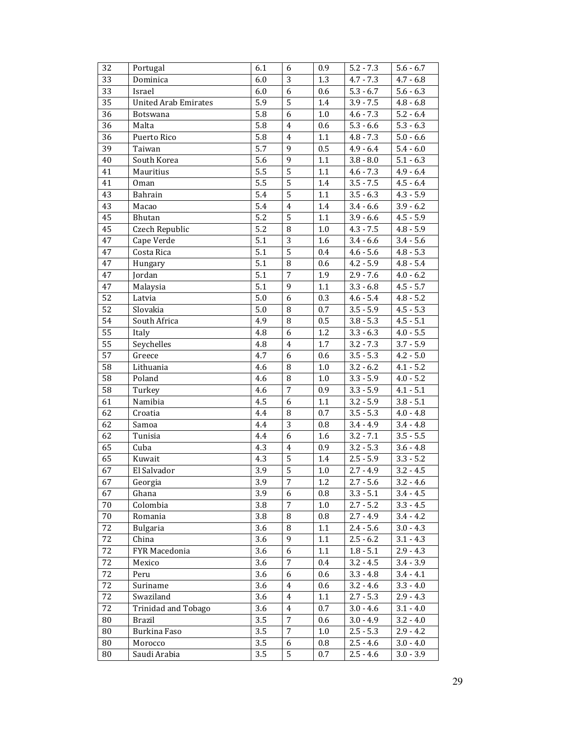| 32 | Portugal                    | 6.1              | 6                | 0.9              | $5.2 - 7.3$ | $5.6 - 6.7$ |
|----|-----------------------------|------------------|------------------|------------------|-------------|-------------|
| 33 | Dominica                    | 6.0              | 3                | 1.3              | $4.7 - 7.3$ | $4.7 - 6.8$ |
| 33 | Israel                      | 6.0              | 6                | 0.6              | $5.3 - 6.7$ | $5.6 - 6.3$ |
| 35 | <b>United Arab Emirates</b> | 5.9              | 5                | 1.4              | $3.9 - 7.5$ | $4.8 - 6.8$ |
| 36 | <b>Botswana</b>             | 5.8              | 6                | 1.0              | $4.6 - 7.3$ | $5.2 - 6.4$ |
| 36 | Malta                       | 5.8              | $\overline{4}$   | 0.6              | $5.3 - 6.6$ | $5.3 - 6.3$ |
| 36 | Puerto Rico                 | 5.8              | $\overline{4}$   | $1.1\,$          | $4.8 - 7.3$ | $5.0 - 6.6$ |
| 39 | Taiwan                      | 5.7              | 9                | 0.5              | $4.9 - 6.4$ | $5.4 - 6.0$ |
| 40 | South Korea                 | 5.6              | 9                | $1.1\,$          | $3.8 - 8.0$ | $5.1 - 6.3$ |
| 41 | Mauritius                   | 5.5              | $\overline{5}$   | 1.1              | $4.6 - 7.3$ | $4.9 - 6.4$ |
| 41 | 0 <sub>man</sub>            | 5.5              | 5                | 1.4              | $3.5 - 7.5$ | $4.5 - 6.4$ |
| 43 | Bahrain                     | 5.4              | $\overline{5}$   | 1.1              | $3.5 - 6.3$ | $4.3 - 5.9$ |
| 43 | Macao                       | 5.4              | $\overline{4}$   | 1.4              | $3.4 - 6.6$ | $3.9 - 6.2$ |
| 45 | Bhutan                      | 5.2              | 5                | $1.1\,$          | $3.9 - 6.6$ | $4.5 - 5.9$ |
| 45 | Czech Republic              | $\overline{5.2}$ | $\, 8$           | 1.0              | $4.3 - 7.5$ | $4.8 - 5.9$ |
| 47 | Cape Verde                  | 5.1              | 3                | 1.6              | $3.4 - 6.6$ | $3.4 - 5.6$ |
| 47 | Costa Rica                  | 5.1              | 5                | 0.4              | $4.6 - 5.6$ | $4.8 - 5.3$ |
| 47 | Hungary                     | $\overline{5.1}$ | $\, 8$           | 0.6              | $4.2 - 5.9$ | $4.8 - 5.4$ |
| 47 | Jordan                      | 5.1              | $\overline{7}$   | 1.9              | $2.9 - 7.6$ | $4.0 - 6.2$ |
| 47 | Malaysia                    | 5.1              | 9                | $1.1\,$          | $3.3 - 6.8$ | $4.5 - 5.7$ |
| 52 | Latvia                      | 5.0              | 6                | 0.3              | $4.6 - 5.4$ | $4.8 - 5.2$ |
| 52 | Slovakia                    | 5.0              | $\, 8$           | 0.7              | $3.5 - 5.9$ | $4.5 - 5.3$ |
| 54 | South Africa                | 4.9              | 8                | 0.5              | $3.8 - 5.3$ | $4.5 - 5.1$ |
| 55 | Italy                       | 4.8              | 6                | 1.2              | $3.3 - 6.3$ | $4.0 - 5.5$ |
| 55 | Seychelles                  | 4.8              | $\overline{4}$   | 1.7              | $3.2 - 7.3$ | $3.7 - 5.9$ |
| 57 | Greece                      | 4.7              | $\boldsymbol{6}$ | 0.6              | $3.5 - 5.3$ | $4.2 - 5.0$ |
| 58 | Lithuania                   | 4.6              | $\, 8$           | $1.0\,$          | $3.2 - 6.2$ | $4.1 - 5.2$ |
| 58 | Poland                      | 4.6              | $\, 8$           | 1.0              | $3.3 - 5.9$ | $4.0 - 5.2$ |
| 58 | Turkey                      | 4.6              | 7                | 0.9              | $3.3 - 5.9$ | $4.1 - 5.1$ |
| 61 | Namibia                     | 4.5              | 6                | 1.1              | $3.2 - 5.9$ | $3.8 - 5.1$ |
| 62 | Croatia                     | 4.4              | $\, 8$           | 0.7              | $3.5 - 5.3$ | $4.0 - 4.8$ |
| 62 | Samoa                       | 4.4              | $\mathbf{3}$     | 0.8              | $3.4 - 4.9$ | $3.4 - 4.8$ |
| 62 | Tunisia                     | $4.4\,$          | 6                | 1.6              | $3.2 - 7.1$ | $3.5 - 5.5$ |
| 65 | Cuba                        | 4.3              | $\overline{4}$   | 0.9              | $3.2 - 5.3$ | $3.6 - 4.8$ |
| 65 | Kuwait                      | 4.3              | 5                | 1.4              | $2.5 - 5.9$ | $3.3 - 5.2$ |
| 67 | El Salvador                 | 3.9              | 5                | $\overline{1.0}$ | $2.7 - 4.9$ | $3.2 - 4.5$ |
| 67 | Georgia                     | 3.9              | 7                | 1.2              | $2.7 - 5.6$ | $3.2 - 4.6$ |
| 67 | Ghana                       | 3.9              | 6                | 0.8              | $3.3 - 5.1$ | $3.4 - 4.5$ |
| 70 | Colombia                    | 3.8              | 7                | 1.0              | $2.7 - 5.2$ | $3.3 - 4.5$ |
| 70 | Romania                     | 3.8              | 8                | 0.8              | $2.7 - 4.9$ | $3.4 - 4.2$ |
| 72 | <b>Bulgaria</b>             | 3.6              | 8                | $1.1\,$          | $2.4 - 5.6$ | $3.0 - 4.3$ |
| 72 | China                       | 3.6              | 9                | 1.1              | $2.5 - 6.2$ | $3.1 - 4.3$ |
| 72 | FYR Macedonia               | 3.6              | 6                | 1.1              | $1.8 - 5.1$ | $2.9 - 4.3$ |
| 72 | Mexico                      | 3.6              | 7                | 0.4              | $3.2 - 4.5$ | $3.4 - 3.9$ |
| 72 | Peru                        | 3.6              | 6                | 0.6              | $3.3 - 4.8$ | $3.4 - 4.1$ |
| 72 | Suriname                    | 3.6              | $\overline{4}$   | 0.6              | $3.2 - 4.6$ | $3.3 - 4.0$ |
| 72 | Swaziland                   | 3.6              | 4                | $1.1\,$          | $2.7 - 5.3$ | $2.9 - 4.3$ |
| 72 | Trinidad and Tobago         | 3.6              | $\overline{4}$   | 0.7              | $3.0 - 4.6$ | $3.1 - 4.0$ |
| 80 | <b>Brazil</b>               | 3.5              | 7                | 0.6              | $3.0 - 4.9$ | $3.2 - 4.0$ |
| 80 | Burkina Faso                | 3.5              | $\overline{7}$   | 1.0              | $2.5 - 5.3$ | $2.9 - 4.2$ |
| 80 | Morocco                     | 3.5              | 6                | 0.8              | $2.5 - 4.6$ | $3.0 - 4.0$ |
| 80 | Saudi Arabia                | 3.5              | 5                | 0.7              | $2.5 - 4.6$ | $3.0 - 3.9$ |
|    |                             |                  |                  |                  |             |             |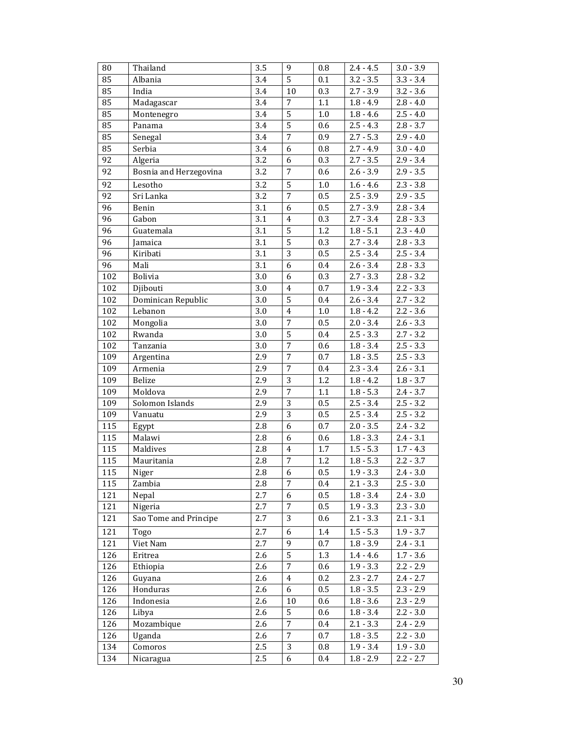| 80  | Thailand               | 3.5              | 9              | 0.8     | $2.4 - 4.5$ | $3.0 - 3.9$            |
|-----|------------------------|------------------|----------------|---------|-------------|------------------------|
| 85  | Albania                | 3.4              | 5              | 0.1     | $3.2 - 3.5$ | $3.3 - 3.4$            |
| 85  | India                  | 3.4              | 10             | 0.3     | $2.7 - 3.9$ | $3.2 - 3.6$            |
| 85  | Madagascar             | 3.4              | 7              | 1.1     | $1.8 - 4.9$ | $2.8 - 4.0$            |
| 85  | Montenegro             | 3.4              | 5              | 1.0     | $1.8 - 4.6$ | $2.5 - 4.0$            |
| 85  | Panama                 | 3.4              | 5              | 0.6     | $2.5 - 4.3$ | $2.8 - 3.7$            |
| 85  | Senegal                | $3.4\,$          | $\sqrt{ }$     | 0.9     | $2.7 - 5.3$ | $2.9 - 4.0$            |
| 85  | Serbia                 | 3.4              | 6              | 0.8     | $2.7 - 4.9$ | $3.0 - 4.0$            |
| 92  | Algeria                | 3.2              | 6              | 0.3     | $2.7 - 3.5$ | $2.9 - 3.4$            |
| 92  | Bosnia and Herzegovina | 3.2              | $\sqrt{ }$     | 0.6     | $2.6 - 3.9$ | $2.9 - 3.5$            |
| 92  | Lesotho                | 3.2              | 5              | 1.0     | $1.6 - 4.6$ | $2.3 - 3.8$            |
| 92  | Sri Lanka              | 3.2              | 7              | 0.5     | $2.5 - 3.9$ | $2.9 - 3.5$            |
| 96  | Benin                  | 3.1              | 6              | 0.5     | $2.7 - 3.9$ | $2.8 - 3.4$            |
| 96  | Gabon                  | $\overline{3.1}$ | $\overline{4}$ | 0.3     | $2.7 - 3.4$ | $2.8 - 3.3$            |
| 96  | Guatemala              | 3.1              | 5              | 1.2     | $1.8 - 5.1$ | $2.3 - 4.0$            |
| 96  | Jamaica                | 3.1              | $\overline{5}$ | 0.3     | $2.7 - 3.4$ | $2.8 - 3.3$            |
| 96  | Kiribati               | 3.1              | 3              | 0.5     | $2.5 - 3.4$ | $2.5 - 3.4$            |
| 96  | Mali                   | 3.1              | 6              | 0.4     | $2.6 - 3.4$ | $2.8 - 3.3$            |
| 102 | Bolivia                | 3.0              | 6              | 0.3     | $2.7 - 3.3$ | $2.8 - 3.2$            |
| 102 | Djibouti               | $3.0\,$          | $\overline{4}$ | 0.7     | $1.9 - 3.4$ | $2.2 - 3.3$            |
| 102 | Dominican Republic     | 3.0              | 5              | 0.4     | $2.6 - 3.4$ | $2.7 - 3.2$            |
| 102 | Lebanon                | 3.0              | $\overline{4}$ | $1.0\,$ | $1.8 - 4.2$ | $2.2 - 3.6$            |
| 102 | Mongolia               | 3.0              | $\overline{7}$ | 0.5     | $2.0 - 3.4$ | $2.6 - 3.3$            |
| 102 | Rwanda                 | 3.0              | 5              | 0.4     | $2.5 - 3.3$ | $2.7 - 3.2$            |
| 102 | Tanzania               | 3.0              | 7              | 0.6     | $1.8 - 3.4$ | $2.5 - 3.3$            |
| 109 | Argentina              | 2.9              | $\overline{7}$ | 0.7     | $1.8 - 3.5$ | $2.5 - 3.3$            |
| 109 | Armenia                | 2.9              | $\overline{7}$ | 0.4     | $2.3 - 3.4$ | $2.6 - 3.1$            |
| 109 | Belize                 | 2.9              | 3              | 1.2     | $1.8 - 4.2$ | $1.8 - 3.7$            |
| 109 | Moldova                | 2.9              | $\overline{7}$ | $1.1\,$ | $1.8 - 5.3$ | $2.4 - 3.7$            |
| 109 | Solomon Islands        | 2.9              | 3              | 0.5     | $2.5 - 3.4$ | $2.5 - 3.2$            |
| 109 | Vanuatu                | 2.9              | 3              | 0.5     | $2.5 - 3.4$ | $2.5 - 3.2$            |
| 115 | Egypt                  | 2.8              | 6              | 0.7     | $2.0 - 3.5$ | $2.4 - 3.2$            |
| 115 | Malawi                 | 2.8              | 6              | 0.6     | $1.8 - 3.3$ | $2.4 - 3.1$            |
| 115 | Maldives               | 2.8              | $\overline{4}$ | 1.7     | $1.5 - 5.3$ | $1.7 - 4.3$            |
| 115 | Mauritania             | 2.8              | $\sqrt{2}$     | 1.2     | $1.8 - 5.3$ | $2.2 - 3.7$            |
| 115 | Niger                  | 2.8              | $\sqrt{6}$     | 0.5     | $1.9 - 3.3$ | $\overline{2.4}$ - 3.0 |
| 115 | Zambia                 | 2.8              | 7              | $0.4\,$ | $2.1 - 3.3$ | $2.5 - 3.0$            |
| 121 | Nepal                  | 2.7              | 6              | 0.5     | $1.8 - 3.4$ | $2.4 - 3.0$            |
| 121 | Nigeria                | 2.7              | 7              | 0.5     | $1.9 - 3.3$ | $2.3 - 3.0$            |
| 121 | Sao Tome and Principe  | 2.7              | 3              | 0.6     | $2.1 - 3.3$ | $2.1 - 3.1$            |
| 121 | Togo                   | 2.7              | 6              | 1.4     | $1.5 - 5.3$ | $1.9 - 3.7$            |
| 121 | Viet Nam               | $2.7\,$          | 9              | 0.7     | $1.8 - 3.9$ | $2.4 - 3.1$            |
| 126 | Eritrea                | 2.6              | 5              | 1.3     | $1.4 - 4.6$ | $1.7 - 3.6$            |
| 126 | Ethiopia               | 2.6              | 7              | 0.6     | $1.9 - 3.3$ | $2.2 - 2.9$            |
| 126 | Guyana                 | 2.6              | 4              | 0.2     | $2.3 - 2.7$ | $2.4 - 2.7$            |
| 126 | Honduras               | 2.6              | 6              | 0.5     | $1.8 - 3.5$ | $2.3 - 2.9$            |
| 126 | Indonesia              | 2.6              | 10             | 0.6     | $1.8 - 3.6$ | $2.3 - 2.9$            |
| 126 | Libya                  | 2.6              | 5              | 0.6     | $1.8 - 3.4$ | $2.2 - 3.0$            |
| 126 | Mozambique             | 2.6              | 7              | 0.4     | $2.1 - 3.3$ | $2.4 - 2.9$            |
| 126 | Uganda                 | 2.6              | 7              | 0.7     | $1.8 - 3.5$ | $2.2 - 3.0$            |
| 134 | Comoros                | 2.5              | 3              | 0.8     | $1.9 - 3.4$ | $1.9 - 3.0$            |
| 134 | Nicaragua              | 2.5              | 6              | $0.4\,$ | $1.8 - 2.9$ | $2.2 - 2.7$            |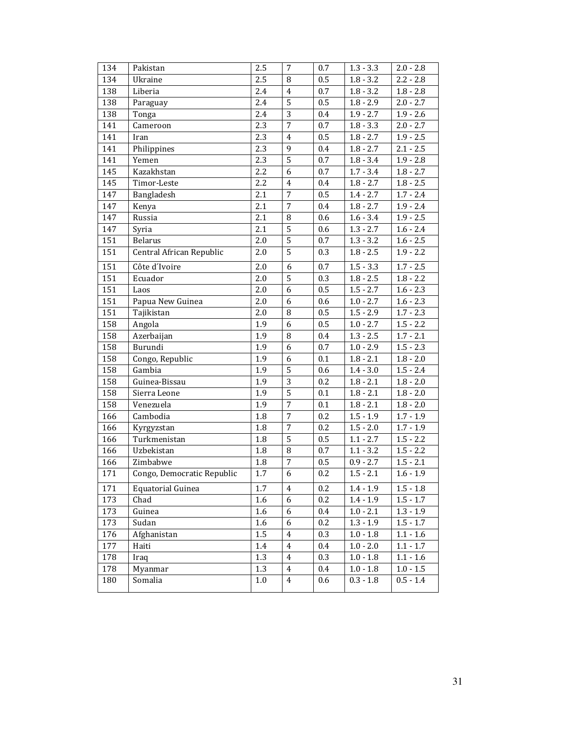| 134 | Pakistan                   | 2.5     | 7                | 0.7 | $1.3 - 3.3$ | $2.0 - 2.8$            |
|-----|----------------------------|---------|------------------|-----|-------------|------------------------|
| 134 | Ukraine                    | 2.5     | 8                | 0.5 | $1.8 - 3.2$ | $2.2 - 2.8$            |
| 138 | Liberia                    | 2.4     | $\pmb{4}$        | 0.7 | $1.8 - 3.2$ | $1.8 - 2.8$            |
| 138 | Paraguay                   | 2.4     | 5                | 0.5 | $1.8 - 2.9$ | $2.0 - 2.7$            |
| 138 | Tonga                      | 2.4     | 3                | 0.4 | $1.9 - 2.7$ | $1.9 - 2.6$            |
| 141 | Cameroon                   | 2.3     | $\overline{7}$   | 0.7 | $1.8 - 3.3$ | $2.0 - 2.7$            |
| 141 | Iran                       | 2.3     | $\overline{4}$   | 0.5 | $1.8 - 2.7$ | $1.9 - 2.5$            |
| 141 | Philippines                | 2.3     | 9                | 0.4 | $1.8 - 2.7$ | $2.1 - 2.5$            |
| 141 | Yemen                      | 2.3     | 5                | 0.7 | $1.8 - 3.4$ | $1.9 - 2.8$            |
| 145 | Kazakhstan                 | 2.2     | 6                | 0.7 | $1.7 - 3.4$ | $1.8 - 2.7$            |
| 145 | Timor-Leste                | 2.2     | $\overline{4}$   | 0.4 | $1.8 - 2.7$ | $1.8 - 2.5$            |
| 147 | Bangladesh                 | 2.1     | $\overline{7}$   | 0.5 | $1.4 - 2.7$ | $1.7 - 2.4$            |
| 147 | Kenya                      | 2.1     | $\overline{7}$   | 0.4 | $1.8 - 2.7$ | $1.9 - 2.4$            |
| 147 | Russia                     | 2.1     | 8                | 0.6 | $1.6 - 3.4$ | $1.9 - 2.5$            |
| 147 | Syria                      | 2.1     | 5                | 0.6 | $1.3 - 2.7$ | $1.6 - 2.\overline{4}$ |
| 151 | <b>Belarus</b>             | 2.0     | $\overline{5}$   | 0.7 | $1.3 - 3.2$ | $1.6 - 2.5$            |
| 151 | Central African Republic   | $2.0\,$ | $\overline{5}$   | 0.3 | $1.8 - 2.5$ | $1.9 - 2.2$            |
| 151 | Côte d'Ivoire              | 2.0     | 6                | 0.7 | $1.5 - 3.3$ | $1.7 - 2.5$            |
| 151 | Ecuador                    | 2.0     | $\overline{5}$   | 0.3 | $1.8 - 2.5$ | $1.8 - 2.2$            |
| 151 | Laos                       | 2.0     | 6                | 0.5 | $1.5 - 2.7$ | $1.6 - 2.3$            |
| 151 | Papua New Guinea           | 2.0     | 6                | 0.6 | $1.0 - 2.7$ | $1.6 - 2.3$            |
| 151 | Tajikistan                 | 2.0     | 8                | 0.5 | $1.5 - 2.9$ | $1.7 - 2.3$            |
| 158 | Angola                     | 1.9     | 6                | 0.5 | $1.0 - 2.7$ | $1.5 - 2.2$            |
| 158 | Azerbaijan                 | 1.9     | 8                | 0.4 | $1.3 - 2.5$ | $1.7 - 2.1$            |
| 158 | Burundi                    | 1.9     | 6                | 0.7 | $1.0 - 2.9$ | $1.5 - 2.3$            |
| 158 | Congo, Republic            | 1.9     | 6                | 0.1 | $1.8 - 2.1$ | $1.8 - 2.0$            |
| 158 | Gambia                     | 1.9     | 5                | 0.6 | $1.4 - 3.0$ | $1.5 - 2.4$            |
| 158 | Guinea-Bissau              | 1.9     | $\overline{3}$   | 0.2 | $1.8 - 2.1$ | $1.8 - 2.0$            |
| 158 | Sierra Leone               | 1.9     | 5                | 0.1 | $1.8 - 2.1$ | $1.8 - 2.0$            |
| 158 | Venezuela                  | 1.9     | $\overline{7}$   | 0.1 | $1.8 - 2.1$ | $1.8 - 2.0$            |
| 166 | Cambodia                   | $1.8\,$ | $\overline{7}$   | 0.2 | $1.5 - 1.9$ | $1.7 - 1.9$            |
| 166 | Kyrgyzstan                 | $1.8\,$ | $\overline{7}$   | 0.2 | $1.5 - 2.0$ | $1.7 - 1.9$            |
| 166 | Turkmenistan               | $1.8\,$ | 5                | 0.5 | $1.1 - 2.7$ | $1.5 - 2.2$            |
| 166 | Uzbekistan                 | 1.8     | 8                | 0.7 | $1.1 - 3.2$ | $1.5 - 2.2$            |
| 166 | Zimbabwe                   | 1.8     | $\boldsymbol{7}$ | 0.5 | $0.9 - 2.7$ | $1.5 - 2.1$            |
| 171 | Congo, Democratic Republic | 1.7     | $\overline{6}$   | 0.2 | $1.5 - 2.1$ | $1.6 - 1.9$            |
| 171 | Equatorial Guinea          | 1.7     | 4                | 0.2 | $1.4 - 1.9$ | $1.5 - 1.8$            |
| 173 | Chad                       | 1.6     | 6                | 0.2 | $1.4 - 1.9$ | $1.5 - 1.7$            |
| 173 | Guinea                     | 1.6     | 6                | 0.4 | $1.0 - 2.1$ | $1.3 - 1.9$            |
| 173 | Sudan                      | 1.6     | 6                | 0.2 | $1.3 - 1.9$ | $1.5 - 1.7$            |
| 176 | Afghanistan                | 1.5     | 4                | 0.3 | $1.0 - 1.8$ | $1.1 - 1.6$            |
| 177 | Haiti                      | 1.4     | 4                | 0.4 | $1.0 - 2.0$ | $1.1 - 1.7$            |
| 178 | Iraq                       | 1.3     | 4                | 0.3 | $1.0 - 1.8$ | $1.1 - 1.6$            |
| 178 | Myanmar                    | 1.3     | 4                | 0.4 | $1.0 - 1.8$ | $1.0 - 1.5$            |
| 180 | Somalia                    | 1.0     | 4                | 0.6 | $0.3 - 1.8$ | $0.5 - 1.4$            |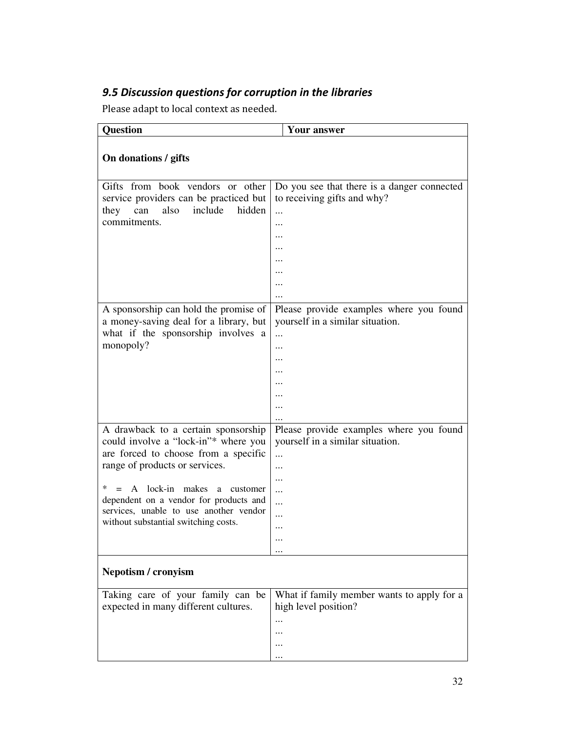# 9.5 Discussion questions for corruption in the libraries

Please adapt to local context as needed.

| <b>Question</b>                                                                                                                                                                                                                                                                                                                | <b>Your answer</b>                                                                                              |
|--------------------------------------------------------------------------------------------------------------------------------------------------------------------------------------------------------------------------------------------------------------------------------------------------------------------------------|-----------------------------------------------------------------------------------------------------------------|
| On donations / gifts                                                                                                                                                                                                                                                                                                           |                                                                                                                 |
| Gifts from book vendors or other<br>service providers can be practiced but<br>include<br>hidden<br>also<br>they<br>can<br>commitments.                                                                                                                                                                                         | Do you see that there is a danger connected<br>to receiving gifts and why?<br><br>                              |
| A sponsorship can hold the promise of<br>a money-saving deal for a library, but<br>what if the sponsorship involves a<br>monopoly?                                                                                                                                                                                             | Please provide examples where you found<br>yourself in a similar situation.<br>                                 |
| A drawback to a certain sponsorship<br>could involve a "lock-in"* where you<br>are forced to choose from a specific<br>range of products or services.<br>$=$ A lock-in makes<br>∗<br>a<br>customer<br>dependent on a vendor for products and<br>services, unable to use another vendor<br>without substantial switching costs. | Please provide examples where you found<br>yourself in a similar situation.<br><br><br><br><br><br>$\cdots$<br> |
| Nepotism / cronyism                                                                                                                                                                                                                                                                                                            |                                                                                                                 |
| Taking care of your family can be<br>expected in many different cultures.                                                                                                                                                                                                                                                      | What if family member wants to apply for a<br>high level position?                                              |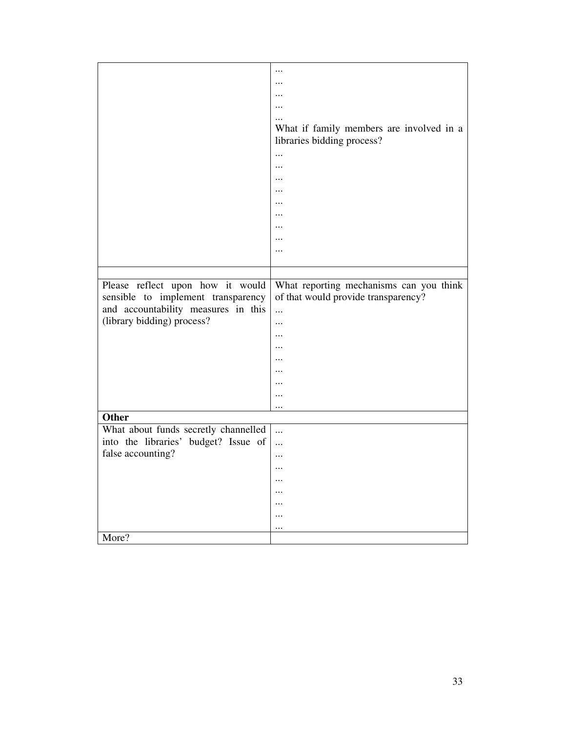|                                      | $\cdots$                                 |
|--------------------------------------|------------------------------------------|
|                                      |                                          |
|                                      |                                          |
|                                      |                                          |
|                                      |                                          |
|                                      | What if family members are involved in a |
|                                      | libraries bidding process?               |
|                                      |                                          |
|                                      |                                          |
|                                      | $\ddotsc$                                |
|                                      |                                          |
|                                      |                                          |
|                                      |                                          |
|                                      |                                          |
|                                      | $\ddotsc$                                |
|                                      |                                          |
|                                      |                                          |
|                                      |                                          |
|                                      |                                          |
| Please reflect upon how it would     | What reporting mechanisms can you think  |
| sensible to implement transparency   | of that would provide transparency?      |
| and accountability measures in this  | $\cdots$                                 |
| (library bidding) process?           |                                          |
|                                      | $\ddotsc$                                |
|                                      |                                          |
|                                      | $\cdots$                                 |
|                                      |                                          |
|                                      |                                          |
|                                      | $\cdots$                                 |
|                                      |                                          |
| <b>Other</b>                         |                                          |
|                                      |                                          |
| What about funds secretly channelled | $\cdots$                                 |
| into the libraries' budget? Issue of | $\cdots$                                 |
| false accounting?                    | $\cdots$                                 |
|                                      |                                          |
|                                      | $\ddotsc$                                |
|                                      | $\ddotsc$                                |
|                                      |                                          |
|                                      |                                          |
|                                      |                                          |
| More?                                |                                          |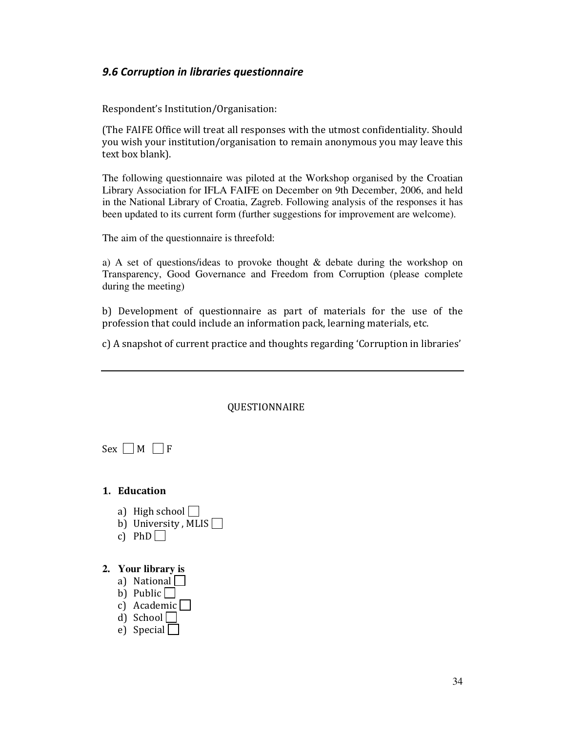# 9.6 Corruption in libraries questionnaire

Respondent's Institution/Organisation:

(The FAIFE Office will treat all responses with the utmost confidentiality. Should you wish your institution/organisation to remain anonymous you may leave this text box blank).

The following questionnaire was piloted at the Workshop organised by the Croatian Library Association for IFLA FAIFE on December on 9th December, 2006, and held in the National Library of Croatia, Zagreb. Following analysis of the responses it has been updated to its current form (further suggestions for improvement are welcome).

The aim of the questionnaire is threefold:

a) A set of questions/ideas to provoke thought & debate during the workshop on Transparency, Good Governance and Freedom from Corruption (please complete during the meeting)

b) Development of questionnaire as part of materials for the use of the profession that could include an information pack, learning materials, etc.

c) A snapshot of current practice and thoughts regarding 'Corruption in libraries'

#### QUESTIONNAIRE

 $Sex \Box M \Box F$ 

### 1. Education

- a) High school  $\Box$
- b) University, MLIS $\Box$
- c) PhD $\Box$

## **2. Your library is**

- a) National
- b) Public  $\Box$
- c) Academic $\Box$
- d) School $\Box$
- e) Special  $\Box$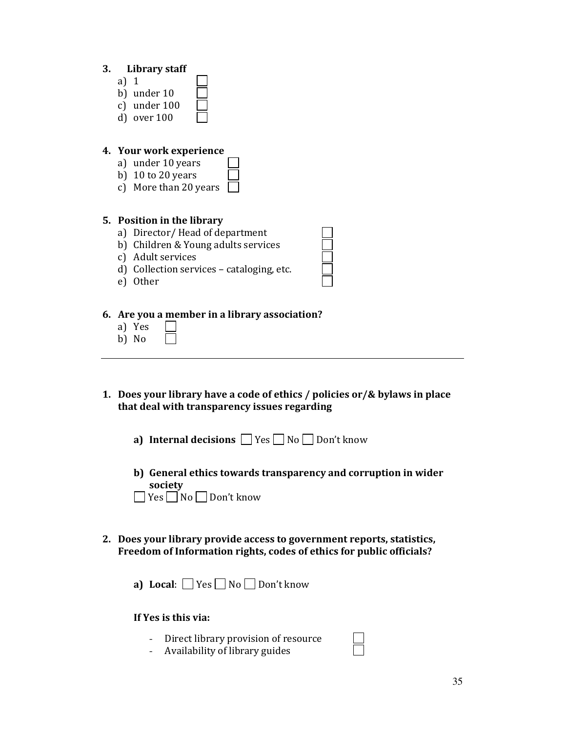- a) 1 b) under 10
- c) under 100 d) over 100
- 

## 4. Your work experience

- a) under 10 years
- b) 10 to 20 years
- c) More than 20 years

# 5. Position in the library

- a) Director/ Head of department
- b) Children & Young adults services
- c) Adult services
- d) Collection services cataloging, etc.
- e) Other

## 6. Are you a member in a library association?

- a) Yes
- b) No
- 1. Does your library have a code of ethics / policies or/& bylaws in place that deal with transparency issues regarding
	- a) Internal decisions  $\Box$  Yes  $\Box$  No  $\Box$  Don't know
	- b) General ethics towards transparency and corruption in wider society ■ Yes No Don't know
- 2. Does your library provide access to government reports, statistics, Freedom of Information rights, codes of ethics for public officials?
	- a) Local:  $\Box$  Yes  $\Box$  No  $\Box$  Don't know

## If Yes is this via:

- Direct library provision of resource
- Availability of library guides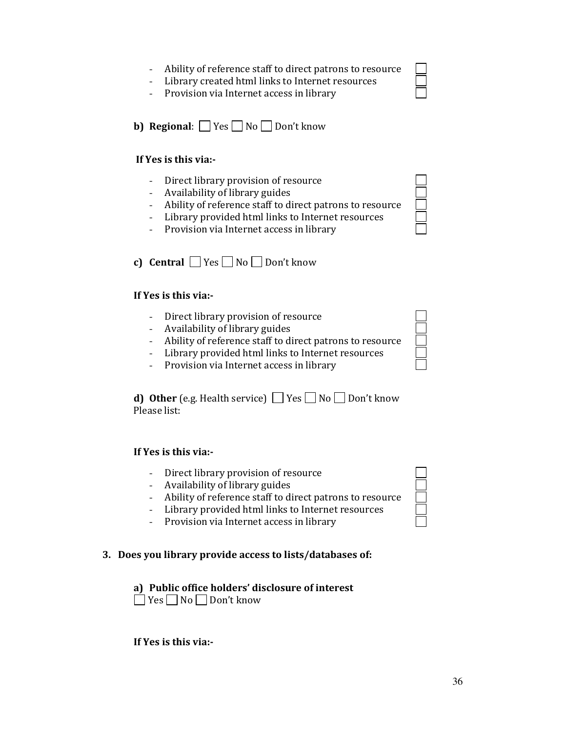36

- Ability of reference staff to direct patrons to resource
- Library created html links to Internet resources
- Provision via Internet access in library

**b) Regional:**  $\Box$  Yes  $\Box$  No  $\Box$  Don't know

# If Yes is this via:-

- Direct library provision of resource
- Availability of library guides
- Ability of reference staff to direct patrons to resource
- Library provided html links to Internet resources
- Provision via Internet access in library
- c) Central  $\Box$  Yes  $\Box$  No  $\Box$  Don't know

# If Yes is this via:-

- Direct library provision of resource
- Availability of library guides
- Ability of reference staff to direct patrons to resource
- Library provided html links to Internet resources
- Provision via Internet access in library

**d) Other** (e.g. Health service)  $\Box$  Yes  $\Box$  No  $\Box$  Don't know Please list:

# If Yes is this via:-

- Direct library provision of resource
- Availability of library guides
- Ability of reference staff to direct patrons to resource
- Library provided html links to Internet resources
- Provision via Internet access in library

# 3. Does you library provide access to lists/databases of:

# a) Public office holders' disclosure of interest

 $\Box$  Yes  $\Box$  No  $\Box$  Don't know

If Yes is this via:-



| -<br>- |  |
|--------|--|
| -<br>_ |  |
| _<br>╾ |  |
|        |  |
|        |  |

 $\Box$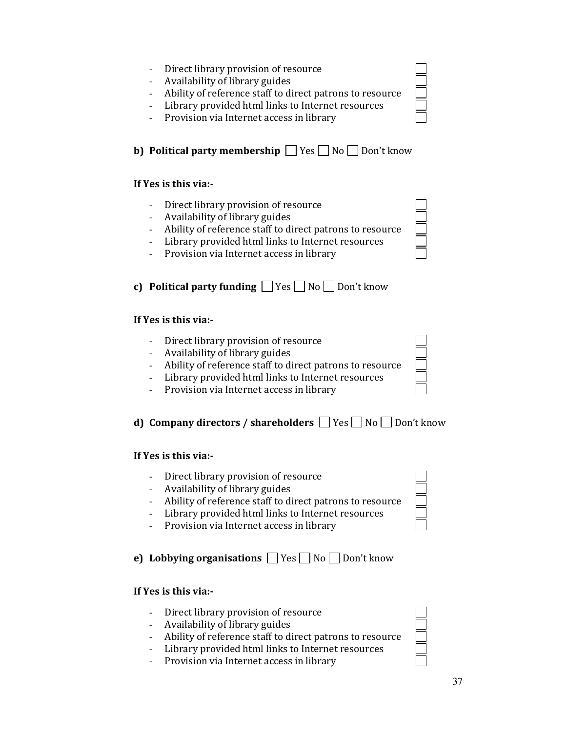- Direct library provision of resource
- Availability of library guides
- Ability of reference staff to direct patrons to resource
- Library provided html links to Internet resources
- Provision via Internet access in library

**b) Political party membership**  $\Box$  Yes  $\Box$  No  $\Box$  Don't know

## If Yes is this via:-

- Direct library provision of resource
- Availability of library guides
- Ability of reference staff to direct patrons to resource
- Library provided html links to Internet resources
- Provision via Internet access in library

c) Political party funding  $\Box$  Yes  $\Box$  No  $\Box$  Don't know

## If Yes is this via:-

- Direct library provision of resource
- Availability of library guides
- Ability of reference staff to direct patrons to resource
- Library provided html links to Internet resources
- Provision via Internet access in library

# d) Company directors / shareholders  $\Box$  Yes  $\Box$  No  $\Box$  Don't know

## If Yes is this via:-

- Direct library provision of resource
- Availability of library guides
- Ability of reference staff to direct patrons to resource
- Library provided html links to Internet resources
- Provision via Internet access in library

# e) Lobbying organisations  $\Box$  Yes  $\Box$  No  $\Box$  Don't know

## If Yes is this via:-

- Direct library provision of resource
- Availability of library guides
- Ability of reference staff to direct patrons to resource
- Library provided html links to Internet resources
- Provision via Internet access in library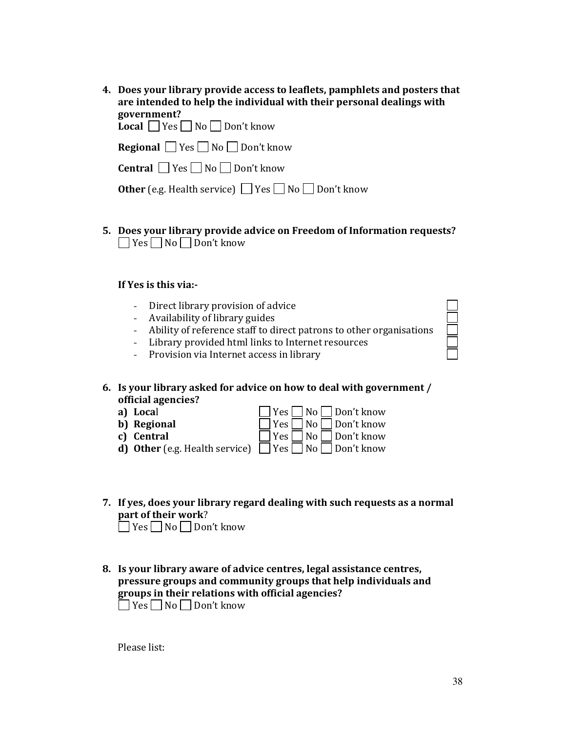| 4. Does your library provide access to leaflets, pamphlets and posters that<br>are intended to help the individual with their personal dealings with |
|------------------------------------------------------------------------------------------------------------------------------------------------------|
| government?                                                                                                                                          |
| <b>Local</b> $\Box$ Yes $\Box$ No $\Box$ Don't know                                                                                                  |
| <b>Regional</b> $\Box$ Yes $\Box$ No $\Box$ Don't know                                                                                               |
| <b>Central</b> $\Box$ Yes $\Box$ No $\Box$ Don't know                                                                                                |
| <b>Other</b> (e.g. Health service) $\Box$ Yes $\Box$ No $\Box$ Don't know                                                                            |

5. Does your library provide advice on Freedom of Information requests?  $\Box$  Yes  $\Box$  No  $\Box$  Don't know

## If Yes is this via:-

- Direct library provision of advice
- Availability of library guides
- Ability of reference staff to direct patrons to other organisations
- Library provided html links to Internet resources
- Provision via Internet access in library

#### 6. Is your library asked for advice on how to deal with government / official agencies?  $\overline{\phantom{0}}$

| a) Local    | $ $ $ $ $Yes$ $ $ $ $ $No$ $ $ $ $ $Don't$ know                              |
|-------------|------------------------------------------------------------------------------|
| b) Regional | $\Box$ Yes $\Box$ No $\Box$ Don't know                                       |
| c) Central  | $\Box$ Yes $\Box$ No $\Box$ Don't know                                       |
|             | <b>d) Other</b> (e.g. Health service) $\Box$ Yes $\Box$ No $\Box$ Don't know |

- 7. If yes, does your library regard dealing with such requests as a normal part of their work? ■ Yes No Don't know
- 8. Is your library aware of advice centres, legal assistance centres, pressure groups and community groups that help individuals and groups in their relations with official agencies?

Yes No Don't know

Please list: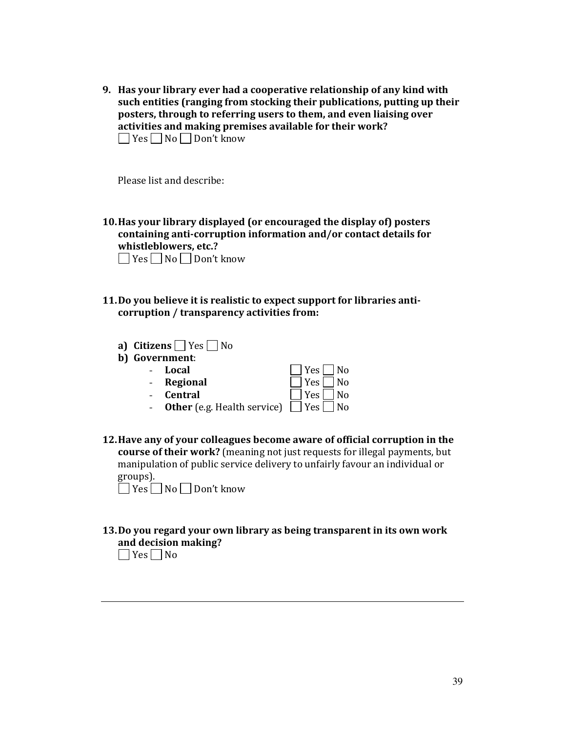9. Has your library ever had a cooperative relationship of any kind with such entities (ranging from stocking their publications, putting up their posters, through to referring users to them, and even liaising over activities and making premises available for their work?  $\Box$  Yes  $\Box$  No  $\Box$  Don't know

Please list and describe:

10.Has your library displayed (or encouraged the display of) posters containing anti-corruption information and/or contact details for whistleblowers, etc.?

 $\Box$  Yes  $\Box$  No  $\Box$  Don't know

- 11.Do you believe it is realistic to expect support for libraries anticorruption / transparency activities from:
	- a) Citizens  $\Box$  Yes  $\Box$  No
	- b) Government:
		-
		- **Local** No<br>- **Regional** No Tyes No - **Regional**  $\Box$  Yes  $\Box$  No<br>- **Central**  $\Box$  Yes  $\Box$  No
		- Central
		- Other (e.g. Health service)  $\Box$  Yes  $\Box$  No
- 12.Have any of your colleagues become aware of official corruption in the course of their work? (meaning not just requests for illegal payments, but manipulation of public service delivery to unfairly favour an individual or groups).

 $\Box$  Yes  $\Box$  No  $\Box$  Don't know

13.Do you regard your own library as being transparent in its own work and decision making?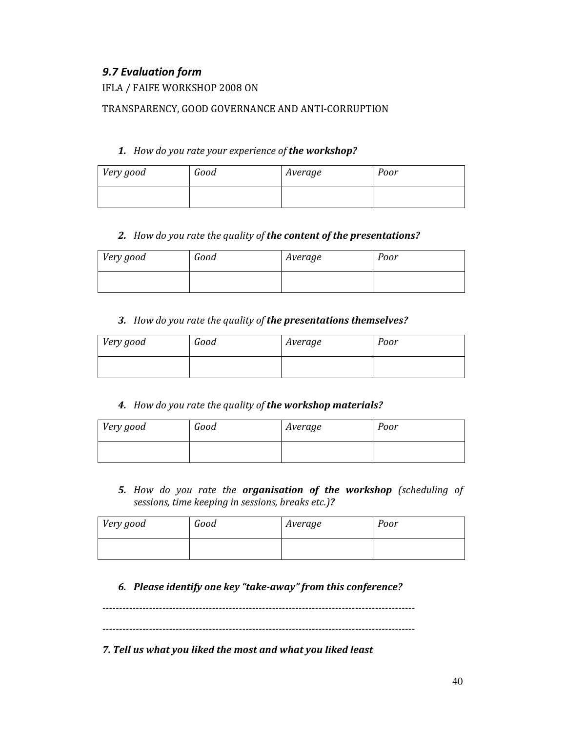# 9.7 Evaluation form

# IFLA / FAIFE WORKSHOP 2008 ON

# TRANSPARENCY, GOOD GOVERNANCE AND ANTI-CORRUPTION

## 1. How do you rate your experience of the workshop?

| Very good | Good | Average | Poor |
|-----------|------|---------|------|
|           |      |         |      |

## 2. How do you rate the quality of the content of the presentations?

| Very good | Good | Average | Poor |
|-----------|------|---------|------|
|           |      |         |      |

## 3. How do you rate the quality of the presentations themselves?

| Very good | Good | Average | Poor |
|-----------|------|---------|------|
|           |      |         |      |

## 4. How do you rate the quality of the workshop materials?

| Very good | Good | Average | Poor |
|-----------|------|---------|------|
|           |      |         |      |

5. How do you rate the organisation of the workshop (scheduling of sessions, time keeping in sessions, breaks etc.)?

| Very good | Good | Average | Poor |
|-----------|------|---------|------|
|           |      |         |      |

# 6. Please identify one key "take-away" from this conference?

----------------------------------------------------------------------------------------------

----------------------------------------------------------------------------------------------

7. Tell us what you liked the most and what you liked least